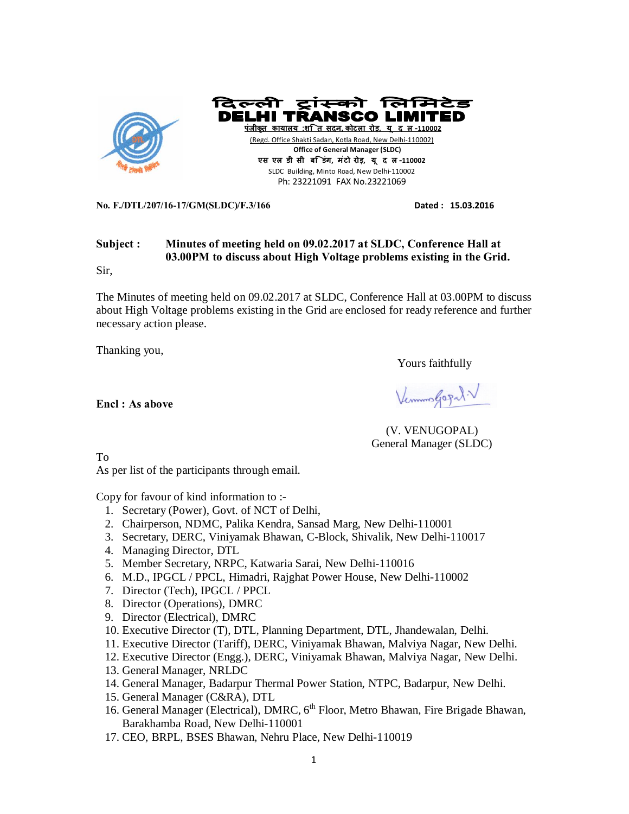

दिल्ली टांस्को लिग्नि **DELHI TRANSCO पंजीकृत काया लय :शि त सदन, कोटला रोड़, यू द ल-110002** (Regd. Office Shakti Sadan, Kotla Road, New Delhi-110002)  **Office of General Manager (SLDC) एस एल डी सी बि डंग, मंटो रोड़, यू द ल-110002**  SLDC Building, Minto Road, New Delhi-110002 Ph: 23221091 FAX No.23221069

**No. F./DTL/207/16-17/GM(SLDC)/F.3/166 Dated : 15.03.2016** 

# **Subject : Minutes of meeting held on 09.02.2017 at SLDC, Conference Hall at 03.00PM to discuss about High Voltage problems existing in the Grid.**

Sir,

The Minutes of meeting held on 09.02.2017 at SLDC, Conference Hall at 03.00PM to discuss about High Voltage problems existing in the Grid are enclosed for ready reference and further necessary action please.

Thanking you,

Yours faithfully

Vermon Gogal.V

**Encl : As above**

(V. VENUGOPAL) General Manager (SLDC)

To

As per list of the participants through email.

Copy for favour of kind information to :-

- 1. Secretary (Power), Govt. of NCT of Delhi,
- 2. Chairperson, NDMC, Palika Kendra, Sansad Marg, New Delhi-110001
- 3. Secretary, DERC, Viniyamak Bhawan, C-Block, Shivalik, New Delhi-110017
- 4. Managing Director, DTL
- 5. Member Secretary, NRPC, Katwaria Sarai, New Delhi-110016
- 6. M.D., IPGCL / PPCL, Himadri, Rajghat Power House, New Delhi-110002
- 7. Director (Tech), IPGCL / PPCL
- 8. Director (Operations), DMRC
- 9. Director (Electrical), DMRC
- 10. Executive Director (T), DTL, Planning Department, DTL, Jhandewalan, Delhi.
- 11. Executive Director (Tariff), DERC, Viniyamak Bhawan, Malviya Nagar, New Delhi.
- 12. Executive Director (Engg.), DERC, Viniyamak Bhawan, Malviya Nagar, New Delhi.
- 13. General Manager, NRLDC
- 14. General Manager, Badarpur Thermal Power Station, NTPC, Badarpur, New Delhi.
- 15. General Manager (C&RA), DTL
- 16. General Manager (Electrical), DMRC, 6<sup>th</sup> Floor, Metro Bhawan, Fire Brigade Bhawan, Barakhamba Road, New Delhi-110001
- 17. CEO, BRPL, BSES Bhawan, Nehru Place, New Delhi-110019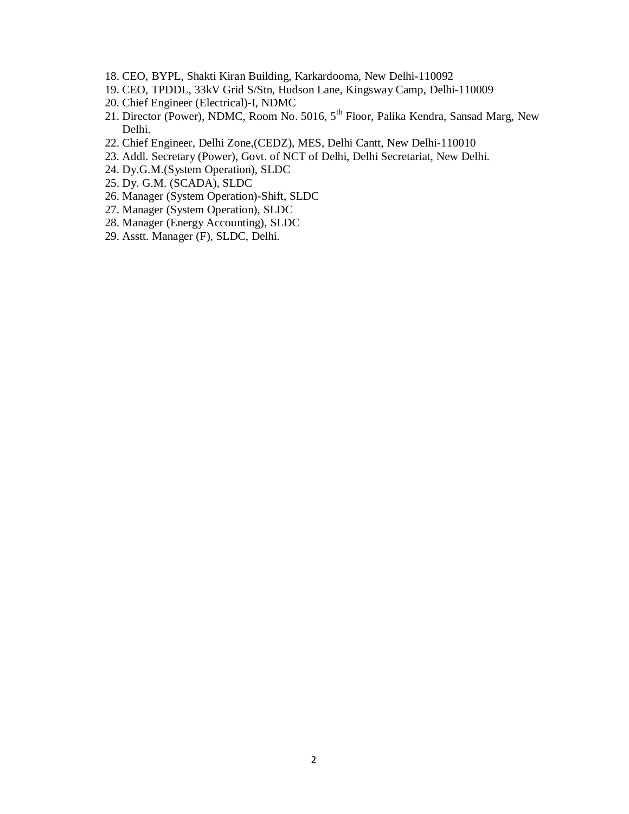- 18. CEO, BYPL, Shakti Kiran Building, Karkardooma, New Delhi-110092
- 19. CEO, TPDDL, 33kV Grid S/Stn, Hudson Lane, Kingsway Camp, Delhi-110009
- 20. Chief Engineer (Electrical)-I, NDMC
- 21. Director (Power), NDMC, Room No. 5016, 5<sup>th</sup> Floor, Palika Kendra, Sansad Marg, New Delhi.
- 22. Chief Engineer, Delhi Zone,(CEDZ), MES, Delhi Cantt, New Delhi-110010
- 23. Addl. Secretary (Power), Govt. of NCT of Delhi, Delhi Secretariat, New Delhi.
- 24. Dy.G.M.(System Operation), SLDC
- 25. Dy. G.M. (SCADA), SLDC
- 26. Manager (System Operation)-Shift, SLDC
- 27. Manager (System Operation), SLDC
- 28. Manager (Energy Accounting), SLDC
- 29. Asstt. Manager (F), SLDC, Delhi.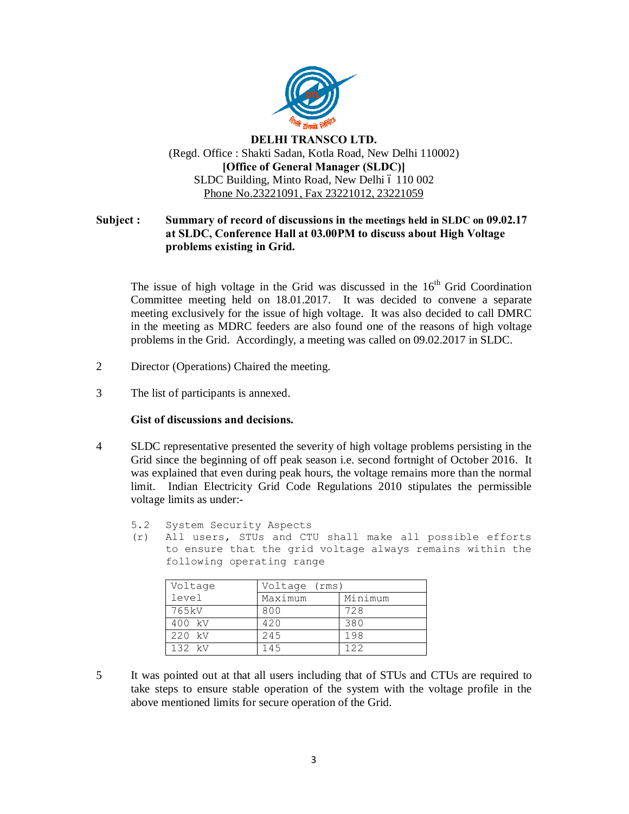

# **DELHI TRANSCO LTD.** (Regd. Office : Shakti Sadan, Kotla Road, New Delhi 110002) **[Office of General Manager (SLDC)]** SLDC Building, Minto Road, New Delhi ó 110 002 Phone No.23221091, Fax 23221012, 23221059

## **Subject : Summary of record of discussions in the meetings held in SLDC on 09.02.17 at SLDC, Conference Hall at 03.00PM to discuss about High Voltage problems existing in Grid.**

The issue of high voltage in the Grid was discussed in the  $16<sup>th</sup>$  Grid Coordination Committee meeting held on 18.01.2017. It was decided to convene a separate meeting exclusively for the issue of high voltage. It was also decided to call DMRC in the meeting as MDRC feeders are also found one of the reasons of high voltage problems in the Grid. Accordingly, a meeting was called on 09.02.2017 in SLDC.

- 2 Director (Operations) Chaired the meeting.
- 3 The list of participants is annexed.

### **Gist of discussions and decisions.**

- 4 SLDC representative presented the severity of high voltage problems persisting in the Grid since the beginning of off peak season i.e. second fortnight of October 2016. It was explained that even during peak hours, the voltage remains more than the normal limit. Indian Electricity Grid Code Regulations 2010 stipulates the permissible voltage limits as under:-
	- 5.2 System Security Aspects
	- (r) All users, STUs and CTU shall make all possible efforts to ensure that the grid voltage always remains within the following operating range

| Voltage | Voltage (rms) |         |  |  |  |  |
|---------|---------------|---------|--|--|--|--|
| level   | Maximum       | Minimum |  |  |  |  |
| 765 kV  | 800           | 728     |  |  |  |  |
| 400 kV  | 420           | 380     |  |  |  |  |
| 220 kV  | 245           | 198     |  |  |  |  |
| 132 kV  | 145           | 122     |  |  |  |  |

5 It was pointed out at that all users including that of STUs and CTUs are required to take steps to ensure stable operation of the system with the voltage profile in the above mentioned limits for secure operation of the Grid.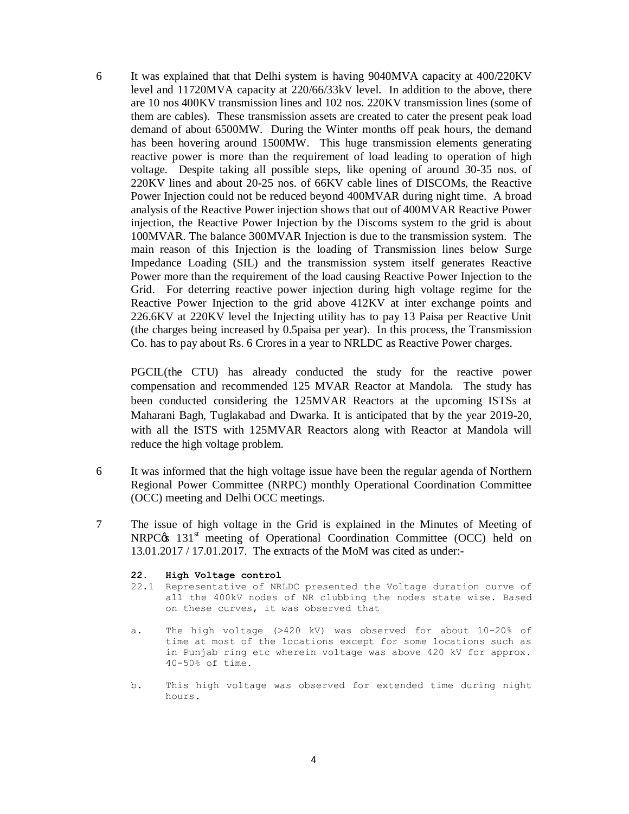6 It was explained that that Delhi system is having 9040MVA capacity at 400/220KV level and 11720MVA capacity at 220/66/33kV level. In addition to the above, there are 10 nos 400KV transmission lines and 102 nos. 220KV transmission lines (some of them are cables). These transmission assets are created to cater the present peak load demand of about 6500MW. During the Winter months off peak hours, the demand has been hovering around 1500MW. This huge transmission elements generating reactive power is more than the requirement of load leading to operation of high voltage. Despite taking all possible steps, like opening of around 30-35 nos. of 220KV lines and about 20-25 nos. of 66KV cable lines of DISCOMs, the Reactive Power Injection could not be reduced beyond 400MVAR during night time. A broad analysis of the Reactive Power injection shows that out of 400MVAR Reactive Power injection, the Reactive Power Injection by the Discoms system to the grid is about 100MVAR. The balance 300MVAR Injection is due to the transmission system. The main reason of this Injection is the loading of Transmission lines below Surge Impedance Loading (SIL) and the transmission system itself generates Reactive Power more than the requirement of the load causing Reactive Power Injection to the Grid. For deterring reactive power injection during high voltage regime for the Reactive Power Injection to the grid above 412KV at inter exchange points and 226.6KV at 220KV level the Injecting utility has to pay 13 Paisa per Reactive Unit (the charges being increased by 0.5paisa per year). In this process, the Transmission Co. has to pay about Rs. 6 Crores in a year to NRLDC as Reactive Power charges.

PGCIL(the CTU) has already conducted the study for the reactive power compensation and recommended 125 MVAR Reactor at Mandola. The study has been conducted considering the 125MVAR Reactors at the upcoming ISTSs at Maharani Bagh, Tuglakabad and Dwarka. It is anticipated that by the year 2019-20, with all the ISTS with 125MVAR Reactors along with Reactor at Mandola will reduce the high voltage problem.

- 6 It was informed that the high voltage issue have been the regular agenda of Northern Regional Power Committee (NRPC) monthly Operational Coordination Committee (OCC) meeting and Delhi OCC meetings.
- 7 The issue of high voltage in the Grid is explained in the Minutes of Meeting of  $NRPC\alpha$  131<sup>st</sup> meeting of Operational Coordination Committee (OCC) held on 13.01.2017 / 17.01.2017. The extracts of the MoM was cited as under:-

#### **22. High Voltage control**

- 22.1 Representative of NRLDC presented the Voltage duration curve of all the 400kV nodes of NR clubbing the nodes state wise. Based on these curves, it was observed that
- a. The high voltage (>420 kV) was observed for about 10-20% of time at most of the locations except for some locations such as in Punjab ring etc wherein voltage was above 420 kV for approx. 40-50% of time.
- b. This high voltage was observed for extended time during night hours.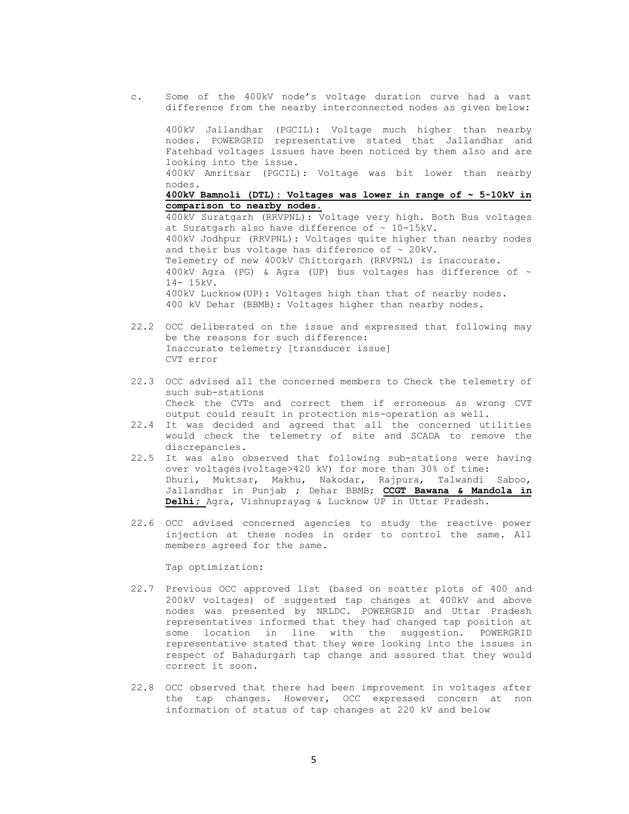c. Some of the 400kV node's voltage duration curve had a vast difference from the nearby interconnected nodes as given below:

400kV Jallandhar (PGCIL): Voltage much higher than nearby nodes. POWERGRID representative stated that Jallandhar and Fatehbad voltages issues have been noticed by them also and are looking into the issue. 400kV Amritsar (PGCIL): Voltage was bit lower than nearby nodes. **400kV Bamnoli (DTL): Voltages was lower in range of ~ 5-10kV in comparison to nearby nodes.**  400kV Suratgarh (RRVPNL): Voltage very high. Both Bus voltages at Suratgarh also have difference of  $\sim$  10-15kV. 400kV Jodhpur (RRVPNL): Voltages quite higher than nearby nodes and their bus voltage has difference of  $\sim$  20kV. Telemetry of new 400kV Chittorgarh (RRVPNL) is inaccurate. 400kV Agra (PG) & Agra (UP) bus voltages has difference of  $\sim$ 14- 15kV. 400kV Lucknow(UP): Voltages high than that of nearby nodes. 400 kV Dehar (BBMB): Voltages higher than nearby nodes.

- 22.2 OCC deliberated on the issue and expressed that following may be the reasons for such difference: Inaccurate telemetry [transducer issue] CVT error
- 22.3 OCC advised all the concerned members to Check the telemetry of such sub-stations Check the CVTs and correct them if erroneous as wrong CVT output could result in protection mis-operation as well.
- 22.4 It was decided and agreed that all the concerned utilities would check the telemetry of site and SCADA to remove the discrepancies.
- 22.5 It was also observed that following sub-stations were having over voltages(voltage>420 kV) for more than 30% of time: Dhuri, Muktsar, Makhu, Nakodar, Rajpura, Talwandi Saboo, Jallandhar in Punjab ; Dehar BBMB; **CCGT Bawana & Mandola in Delhi;** Agra, Vishnuprayag & Lucknow UP in Uttar Pradesh.
- 22.6 OCC advised concerned agencies to study the reactive power injection at these nodes in order to control the same. All members agreed for the same.

Tap optimization:

- 22.7 Previous OCC approved list (based on scatter plots of 400 and 200kV voltages) of suggested tap changes at 400kV and above nodes was presented by NRLDC. POWERGRID and Uttar Pradesh representatives informed that they had changed tap position at some location in line with the suggestion. POWERGRID representative stated that they were looking into the issues in respect of Bahadurgarh tap change and assured that they would correct it soon.
- 22.8 OCC observed that there had been improvement in voltages after the tap changes. However, OCC expressed concern at non information of status of tap changes at 220 kV and below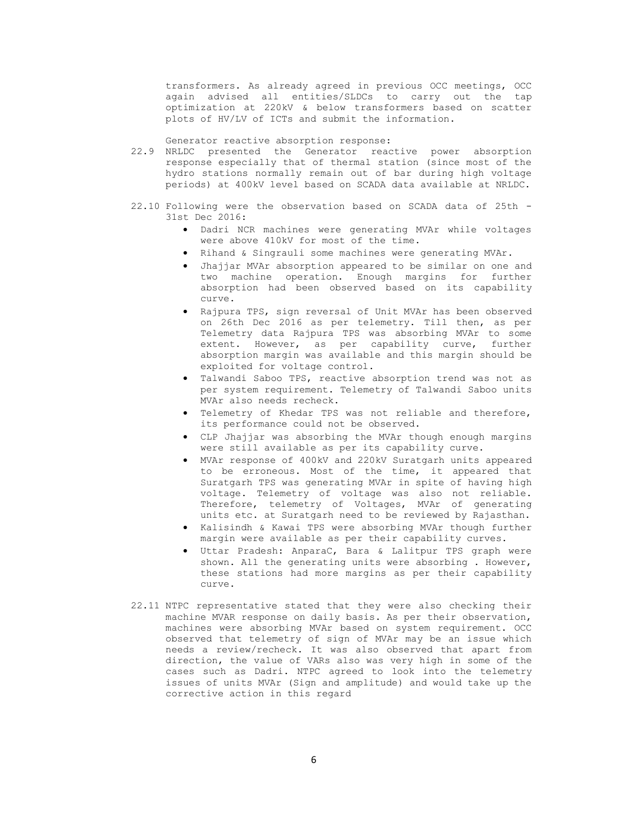transformers. As already agreed in previous OCC meetings, OCC again advised all entities/SLDCs to carry out the tap optimization at 220kV & below transformers based on scatter plots of HV/LV of ICTs and submit the information.

Generator reactive absorption response:

- 22.9 NRLDC presented the Generator reactive power absorption response especially that of thermal station (since most of the hydro stations normally remain out of bar during high voltage periods) at 400kV level based on SCADA data available at NRLDC.
- 22.10 Following were the observation based on SCADA data of 25th 31st Dec 2016:
	- · Dadri NCR machines were generating MVAr while voltages were above 410kV for most of the time.
	- · Rihand & Singrauli some machines were generating MVAr.
	- · Jhajjar MVAr absorption appeared to be similar on one and two machine operation. Enough margins for further absorption had been observed based on its capability curve.
	- · Rajpura TPS, sign reversal of Unit MVAr has been observed on 26th Dec 2016 as per telemetry. Till then, as per Telemetry data Rajpura TPS was absorbing MVAr to some extent. However, as per capability curve, further absorption margin was available and this margin should be exploited for voltage control.
	- · Talwandi Saboo TPS, reactive absorption trend was not as per system requirement. Telemetry of Talwandi Saboo units MVAr also needs recheck.
	- · Telemetry of Khedar TPS was not reliable and therefore, its performance could not be observed.
	- · CLP Jhajjar was absorbing the MVAr though enough margins were still available as per its capability curve.
	- · MVAr response of 400kV and 220kV Suratgarh units appeared to be erroneous. Most of the time, it appeared that Suratgarh TPS was generating MVAr in spite of having high voltage. Telemetry of voltage was also not reliable. Therefore, telemetry of Voltages, MVAr of generating units etc. at Suratgarh need to be reviewed by Rajasthan.
	- · Kalisindh & Kawai TPS were absorbing MVAr though further margin were available as per their capability curves.
	- · Uttar Pradesh: AnparaC, Bara & Lalitpur TPS graph were shown. All the generating units were absorbing . However, these stations had more margins as per their capability curve.
- 22.11 NTPC representative stated that they were also checking their machine MVAR response on daily basis. As per their observation, machines were absorbing MVAr based on system requirement. OCC observed that telemetry of sign of MVAr may be an issue which needs a review/recheck. It was also observed that apart from direction, the value of VARs also was very high in some of the cases such as Dadri. NTPC agreed to look into the telemetry issues of units MVAr (Sign and amplitude) and would take up the corrective action in this regard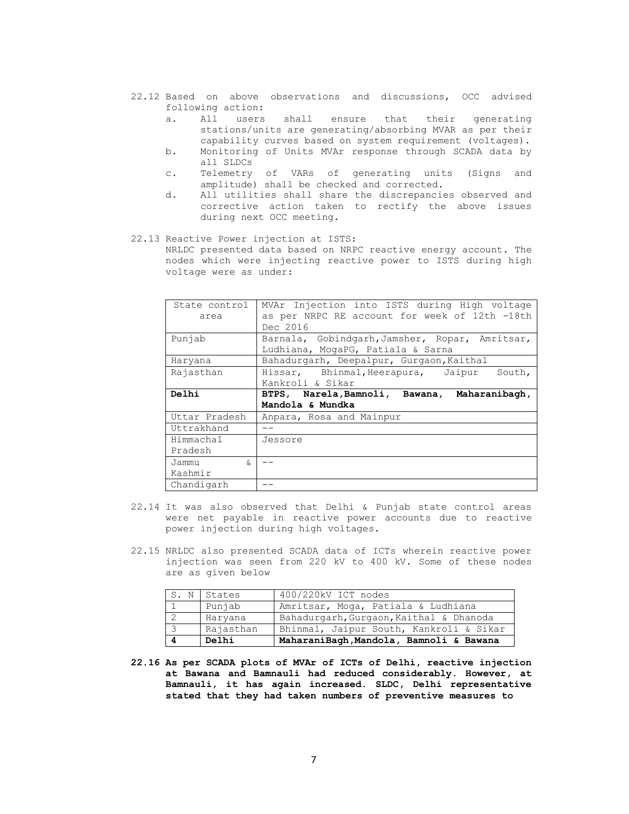- 22.12 Based on above observations and discussions, OCC advised following action:
	- a. All users shall ensure that their generating stations/units are generating/absorbing MVAR as per their capability curves based on system requirement (voltages).
	- b. Monitoring of Units MVAr response through SCADA data by all SLDCs
	- c. Telemetry of VARs of generating units (Signs and amplitude) shall be checked and corrected.
	- d. All utilities shall share the discrepancies observed and corrective action taken to rectify the above issues during next OCC meeting.

#### 22.13 Reactive Power injection at ISTS:

NRLDC presented data based on NRPC reactive energy account. The nodes which were injecting reactive power to ISTS during high voltage were as under:

| State control<br>area | MVAr Injection into ISTS during High voltage<br>as per NRPC RE account for week of 12th -18th<br>Dec 2016 |
|-----------------------|-----------------------------------------------------------------------------------------------------------|
| Punjab                | Barnala, Gobindgarh, Jamsher, Ropar, Amritsar,<br>Ludhiana, MogaPG, Patiala & Sarna                       |
| Haryana               | Bahadurgarh, Deepalpur, Gurgaon, Kaithal                                                                  |
| Rajasthan             | Hissar, Bhinmal, Heerapura, Jaipur<br>South,                                                              |
|                       | Kankroli & Sikar                                                                                          |
| Delhi                 | BTPS, Narela, Bamnoli, Bawana, Maharanibagh,                                                              |
|                       | Mandola & Mundka                                                                                          |
| Uttar Pradesh         | Anpara, Rosa and Mainpur                                                                                  |
| Uttrakhand            |                                                                                                           |
| Himmachal             | Jessore                                                                                                   |
| Pradesh               |                                                                                                           |
|                       |                                                                                                           |
| Jammu<br>$\delta$     |                                                                                                           |
| Kashmir               |                                                                                                           |

- 22.14 It was also observed that Delhi & Punjab state control areas were net payable in reactive power accounts due to reactive power injection during high voltages.
- 22.15 NRLDC also presented SCADA data of ICTs wherein reactive power injection was seen from 220 kV to 400 kV. Some of these nodes are as given below

|                         | S. N States | 400/220kV ICT nodes                     |
|-------------------------|-------------|-----------------------------------------|
|                         | Punjab      | Amritsar, Moga, Patiala & Ludhiana      |
|                         | Haryana     | Bahadurgarh, Gurgaon, Kaithal & Dhanoda |
| $\overline{\mathbf{3}}$ | Rajasthan   | Bhinmal, Jaipur South, Kankroli & Sikar |
|                         | Delhi       | MaharaniBagh, Mandola, Bamnoli & Bawana |

**22.16 As per SCADA plots of MVAr of ICTs of Delhi, reactive injection at Bawana and Bamnauli had reduced considerably. However, at Bamnauli, it has again increased. SLDC, Delhi representative stated that they had taken numbers of preventive measures to**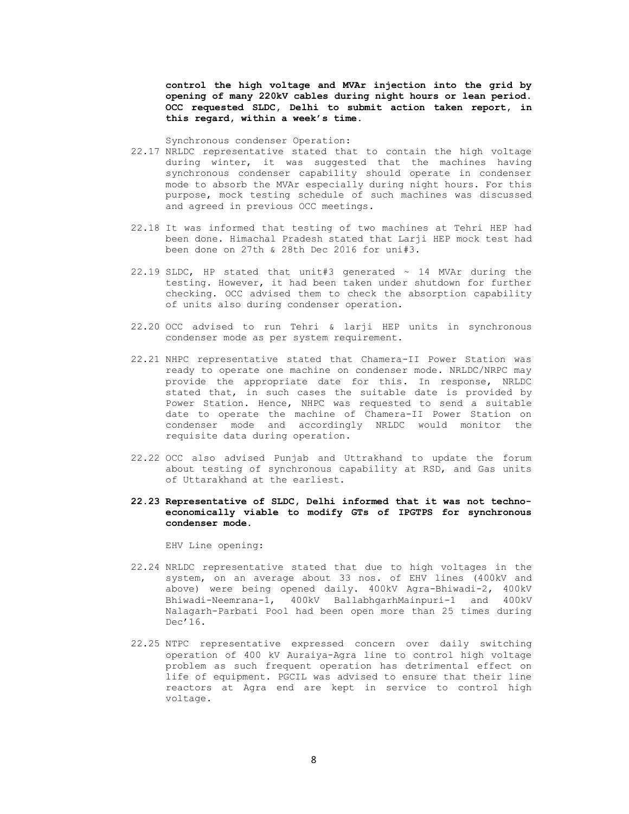**control the high voltage and MVAr injection into the grid by opening of many 220kV cables during night hours or lean period. OCC requested SLDC, Delhi to submit action taken report, in this regard, within a week's time.** 

Synchronous condenser Operation:

- 22.17 NRLDC representative stated that to contain the high voltage during winter, it was suggested that the machines having synchronous condenser capability should operate in condenser mode to absorb the MVAr especially during night hours. For this purpose, mock testing schedule of such machines was discussed and agreed in previous OCC meetings.
- 22.18 It was informed that testing of two machines at Tehri HEP had been done. Himachal Pradesh stated that Larji HEP mock test had been done on 27th & 28th Dec 2016 for uni#3.
- 22.19 SLDC, HP stated that unit#3 generated  $\sim$  14 MVAr during the testing. However, it had been taken under shutdown for further checking. OCC advised them to check the absorption capability of units also during condenser operation.
- 22.20 OCC advised to run Tehri & larji HEP units in synchronous condenser mode as per system requirement.
- 22.21 NHPC representative stated that Chamera-II Power Station was ready to operate one machine on condenser mode. NRLDC/NRPC may provide the appropriate date for this. In response, NRLDC stated that, in such cases the suitable date is provided by Power Station. Hence, NHPC was requested to send a suitable date to operate the machine of Chamera-II Power Station on condenser mode and accordingly NRLDC would monitor the requisite data during operation.
- 22.22 OCC also advised Punjab and Uttrakhand to update the forum about testing of synchronous capability at RSD, and Gas units of Uttarakhand at the earliest.

#### **22.23 Representative of SLDC, Delhi informed that it was not technoeconomically viable to modify GTs of IPGTPS for synchronous condenser mode.**

EHV Line opening:

- 22.24 NRLDC representative stated that due to high voltages in the system, on an average about 33 nos. of EHV lines (400kV and above) were being opened daily. 400kV Agra-Bhiwadi-2, 400kV Bhiwadi-Neemrana-1, 400kV BallabhgarhMainpuri-1 and 400kV Nalagarh-Parbati Pool had been open more than 25 times during Dec'16.
- 22.25 NTPC representative expressed concern over daily switching operation of 400 kV Auraiya-Agra line to control high voltage problem as such frequent operation has detrimental effect on life of equipment. PGCIL was advised to ensure that their line reactors at Agra end are kept in service to control high voltage.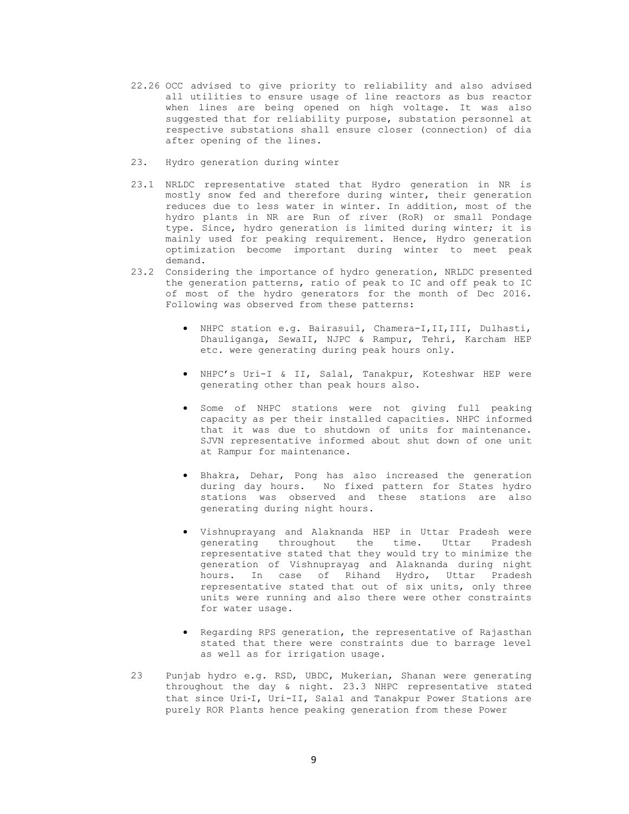- 22.26 OCC advised to give priority to reliability and also advised all utilities to ensure usage of line reactors as bus reactor when lines are being opened on high voltage. It was also suggested that for reliability purpose, substation personnel at respective substations shall ensure closer (connection) of dia after opening of the lines.
- 23. Hydro generation during winter
- 23.1 NRLDC representative stated that Hydro generation in NR is mostly snow fed and therefore during winter, their generation reduces due to less water in winter. In addition, most of the hydro plants in NR are Run of river (RoR) or small Pondage type. Since, hydro generation is limited during winter; it is mainly used for peaking requirement. Hence, Hydro generation optimization become important during winter to meet peak demand.
- 23.2 Considering the importance of hydro generation, NRLDC presented the generation patterns, ratio of peak to IC and off peak to IC of most of the hydro generators for the month of Dec 2016. Following was observed from these patterns:
	- · NHPC station e.g. Bairasuil, Chamera-I,II,III, Dulhasti, Dhauliganga, SewaII, NJPC & Rampur, Tehri, Karcham HEP etc. were generating during peak hours only.
	- · NHPC's Uri-I & II, Salal, Tanakpur, Koteshwar HEP were generating other than peak hours also.
	- · Some of NHPC stations were not giving full peaking capacity as per their installed capacities. NHPC informed that it was due to shutdown of units for maintenance. SJVN representative informed about shut down of one unit at Rampur for maintenance.
	- · Bhakra, Dehar, Pong has also increased the generation during day hours. No fixed pattern for States hydro stations was observed and these stations are also generating during night hours.
	- · Vishnuprayang and Alaknanda HEP in Uttar Pradesh were generating throughout the time. Uttar Pradesh representative stated that they would try to minimize the generation of Vishnuprayag and Alaknanda during night hours. In case of Rihand Hydro, Uttar representative stated that out of six units, only three units were running and also there were other constraints for water usage.
	- · Regarding RPS generation, the representative of Rajasthan stated that there were constraints due to barrage level as well as for irrigation usage.
- 23 Punjab hydro e.g. RSD, UBDC, Mukerian, Shanan were generating throughout the day & night. 23.3 NHPC representative stated that since Uri‐I, Uri-II, Salal and Tanakpur Power Stations are purely ROR Plants hence peaking generation from these Power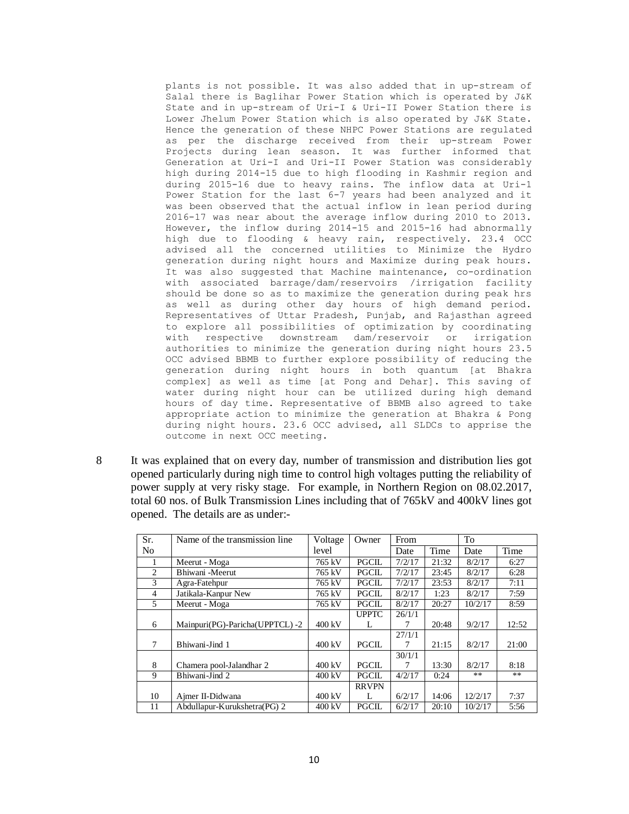plants is not possible. It was also added that in up-stream of Salal there is Baglihar Power Station which is operated by J&K State and in up-stream of Uri-I & Uri-II Power Station there is Lower Jhelum Power Station which is also operated by J&K State. Hence the generation of these NHPC Power Stations are regulated as per the discharge received from their up-stream Power Projects during lean season. It was further informed that Generation at Uri-I and Uri-II Power Station was considerably high during 2014-15 due to high flooding in Kashmir region and during 2015-16 due to heavy rains. The inflow data at Uri-1 Power Station for the last 6-7 years had been analyzed and it was been observed that the actual inflow in lean period during 2016-17 was near about the average inflow during 2010 to 2013. However, the inflow during 2014-15 and 2015-16 had abnormally high due to flooding & heavy rain, respectively. 23.4 OCC advised all the concerned utilities to Minimize the Hydro generation during night hours and Maximize during peak hours. It was also suggested that Machine maintenance, co-ordination with associated barrage/dam/reservoirs /irrigation facility should be done so as to maximize the generation during peak hrs as well as during other day hours of high demand period. Representatives of Uttar Pradesh, Punjab, and Rajasthan agreed to explore all possibilities of optimization by coordinating with respective downstream dam/reservoir or irrigation authorities to minimize the generation during night hours 23.5 OCC advised BBMB to further explore possibility of reducing the generation during night hours in both quantum [at Bhakra complex] as well as time [at Pong and Dehar]. This saving of water during night hour can be utilized during high demand hours of day time. Representative of BBMB also agreed to take appropriate action to minimize the generation at Bhakra & Pong during night hours. 23.6 OCC advised, all SLDCs to apprise the outcome in next OCC meeting.

8 It was explained that on every day, number of transmission and distribution lies got opened particularly during nigh time to control high voltages putting the reliability of power supply at very risky stage. For example, in Northern Region on 08.02.2017, total 60 nos. of Bulk Transmission Lines including that of 765kV and 400kV lines got opened. The details are as under:-

| Sr.            | Name of the transmission line  | Voltage          | Owner        | From   |       | To      |       |
|----------------|--------------------------------|------------------|--------------|--------|-------|---------|-------|
| N <sub>0</sub> |                                | level            |              | Date   | Time  | Date    | Time  |
| 1              | Meerut - Moga                  | 765 kV           | <b>PGCIL</b> | 7/2/17 | 21:32 | 8/2/17  | 6:27  |
| $\overline{2}$ | Bhiwani -Meerut                | 765 kV           | <b>PGCIL</b> | 7/2/17 | 23:45 | 8/2/17  | 6:28  |
| 3              | Agra-Fatehpur                  | 765 kV           | <b>PGCIL</b> | 7/2/17 | 23:53 | 8/2/17  | 7:11  |
| $\overline{4}$ | Jatikala-Kanpur New            | 765 kV           | <b>PGCIL</b> | 8/2/17 | 1:23  | 8/2/17  | 7:59  |
| 5              | Meerut - Moga                  | 765 kV           | <b>PGCIL</b> | 8/2/17 | 20:27 | 10/2/17 | 8:59  |
|                |                                |                  | <b>UPPTC</b> | 26/1/1 |       |         |       |
| 6              | Mainpuri(PG)-Paricha(UPPTCL)-2 | $400 \text{ kV}$ | L            | 7      | 20:48 | 9/2/17  | 12:52 |
|                |                                |                  |              | 27/1/1 |       |         |       |
| 7              | Bhiwani-Jind 1                 | 400 kV           | <b>PGCIL</b> | 7      | 21:15 | 8/2/17  | 21:00 |
|                |                                |                  |              | 30/1/1 |       |         |       |
| 8              | Chamera pool-Jalandhar 2       | 400 kV           | <b>PGCIL</b> | 7      | 13:30 | 8/2/17  | 8:18  |
| 9              | Bhiwani-Jind 2                 | $400 \text{ kV}$ | <b>PGCIL</b> | 4/2/17 | 0:24  | **      | $***$ |
|                |                                |                  | <b>RRVPN</b> |        |       |         |       |
| 10             | Ajmer II-Didwana               | $400 \text{ kV}$ | L            | 6/2/17 | 14:06 | 12/2/17 | 7:37  |
| 11             | Abdullapur-Kurukshetra(PG) 2   | 400 kV           | <b>PGCIL</b> | 6/2/17 | 20:10 | 10/2/17 | 5:56  |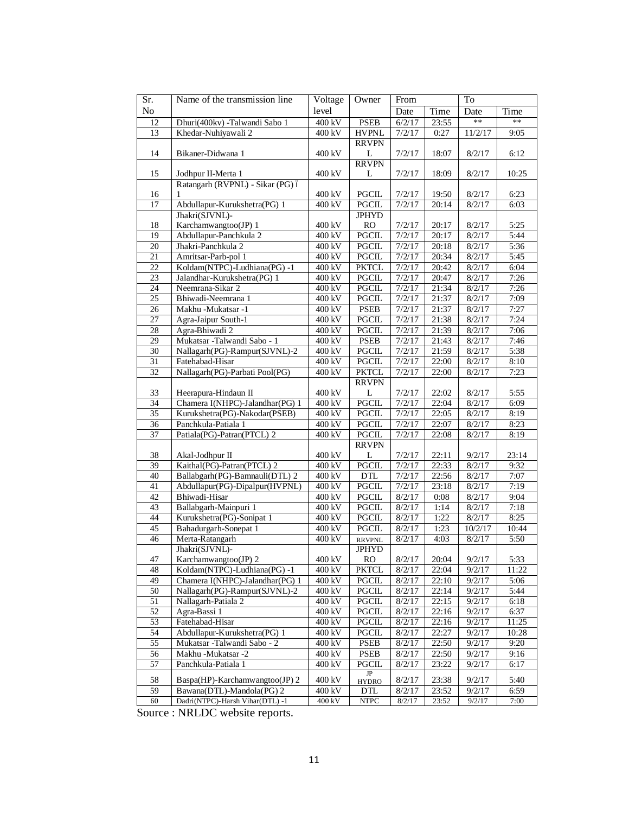| Sr.             | Name of the transmission line                                    | Voltage            | Owner                         | From             |                     | To               |              |  |
|-----------------|------------------------------------------------------------------|--------------------|-------------------------------|------------------|---------------------|------------------|--------------|--|
| No              |                                                                  | level              |                               | Date             | Time                | Date             | Time         |  |
| 12              | Dhuri(400kv) -Talwandi Sabo 1                                    | 400 kV             | <b>PSEB</b>                   | 6/2/17           | 23:55               | **               | **           |  |
| 13              | Khedar-Nuhiyawali 2                                              | 400 kV             | <b>HVPNL</b>                  | 7/2/17           | 0:27                | 11/2/17          | 9:05         |  |
|                 |                                                                  |                    | <b>RRVPN</b>                  |                  |                     |                  |              |  |
| 14              | Bikaner-Didwana 1                                                | 400 kV             | L                             | 7/2/17           | 18:07               | 8/2/17           | 6:12         |  |
|                 |                                                                  |                    | <b>RRVPN</b>                  |                  |                     |                  |              |  |
| 15              | Jodhpur II-Merta 1                                               | 400 kV             | L                             | 7/2/17           | 18:09               | 8/2/17           | 10:25        |  |
|                 | Ratangarh (RVPNL) - Sikar (PG) ó                                 |                    |                               |                  |                     |                  |              |  |
| 16              | 1                                                                | 400 kV             | PGCIL                         | 7/2/17           | 19:50               | 8/2/17           | 6:23         |  |
| 17              | Abdullapur-Kurukshetra(PG) 1                                     | 400 kV             | PGCIL                         | 7/2/17           | 20:14               | 8/2/17           | 6:03         |  |
|                 | Jhakri(SJVNL)-                                                   |                    | <b>JPHYD</b>                  |                  |                     |                  |              |  |
| 18              | Karchamwangtoo(JP) 1                                             | 400 kV             | RO                            | 7/2/17           | 20:17               | 8/2/17           | 5:25         |  |
| 19              | Abdullapur-Panchkula 2                                           | 400 kV             | PGCIL                         | 7/2/17           | 20:17               | 8/2/17           | 5:44         |  |
| $20\,$          | Jhakri-Panchkula 2                                               | 400 kV             | PGCIL                         | 7/2/17           | 20:18               | 8/2/17           | 5:36         |  |
| 21              | Amritsar-Parb-pol 1                                              | 400 kV             | PGCIL                         | 7/2/17           | 20:34               | 8/2/17           | 5:45         |  |
| 22              | Koldam(NTPC)-Ludhiana(PG) -1                                     | 400 kV             | <b>PKTCL</b>                  | 7/2/17           | 20:42               | 8/2/17           | 6:04         |  |
| 23              | Jalandhar-Kurukshetra(PG) 1                                      | 400 kV             | PGCIL                         | 7/2/17           | 20:47               | 8/2/17           | 7:26         |  |
| 24              | Neemrana-Sikar 2                                                 | 400 kV             | <b>PGCIL</b>                  | 7/2/17           | 21:34               | 8/2/17           | 7:26         |  |
| $\overline{25}$ | Bhiwadi-Neemrana 1                                               | 400 kV             | <b>PGCIL</b>                  | 7/2/17           | 21:37               | 8/2/17           | 7:09         |  |
| 26              | Makhu -Mukatsar -1                                               | 400 kV             | <b>PSEB</b>                   | 7/2/17           | 21:37               | 8/2/17           | 7:27         |  |
| 27              | Agra-Jaipur South-1                                              | 400 kV             | PGCIL                         | 7/2/17           | 21:38               | 8/2/17           | 7:24         |  |
| 28              | Agra-Bhiwadi 2                                                   | 400 kV             | <b>PGCIL</b>                  | 7/2/17           | 21:39               | 8/2/17           | 7:06         |  |
| 29              | Mukatsar -Talwandi Sabo - 1                                      | 400 kV             | <b>PSEB</b>                   | 7/2/17           | 21:43               | 8/2/17           | 7:46         |  |
| 30              | Nallagarh(PG)-Rampur(SJVNL)-2                                    | 400 kV             | PGCIL                         | 7/2/17           | 21:59               | 8/2/17           | 5:38         |  |
| 31              | Fatehabad-Hisar                                                  | $400$ kV           | PGCIL                         | $\frac{7}{2}17$  | $\overline{2}$ 2:00 | 8/2/17           | 8:10         |  |
| 32              | Nallagarh(PG)-Parbati Pool(PG)                                   | 400 kV             | <b>PKTCL</b>                  | 7/2/17           | 22:00               | 8/2/17           | 7:23         |  |
|                 |                                                                  |                    | <b>RRVPN</b>                  |                  |                     |                  |              |  |
| 33              | Heerapura-Hindaun II                                             | 400 kV             | L                             | 7/2/17           | 22:02               | 8/2/17           | 5:55         |  |
| 34              | Chamera I(NHPC)-Jalandhar(PG) 1                                  | 400 kV             | <b>PGCIL</b>                  | 7/2/17           | 22:04               | 8/2/17           | 6:09         |  |
| $\overline{35}$ | Kurukshetra(PG)-Nakodar(PSEB)                                    | 400 kV             | PGCIL                         | 7/2/17           | 22:05               | 8/2/17           | 8:19         |  |
| 36              | Panchkula-Patiala 1                                              | 400 kV             | PGCIL                         | 7/2/17           | 22:07               | 8/2/17           | 8:23         |  |
| 37              | Patiala(PG)-Patran(PTCL) 2                                       | 400 kV             | PGCIL                         | 7/2/17           | 22:08               | 8/2/17           | 8:19         |  |
|                 |                                                                  |                    | <b>RRVPN</b>                  |                  |                     |                  |              |  |
| 38              | Akal-Jodhpur II<br>Kaithal(PG)-Patran(PTCL) 2                    | 400 kV<br>400 kV   | L                             | 7/2/17           | 22:11               | 9/2/17           | 23:14        |  |
| 39<br>40        |                                                                  |                    | PGCIL                         | 7/2/17           | 22:33               | 8/2/17           | 9:32         |  |
| 41              | Ballabgarh(PG)-Bamnauli(DTL) 2<br>Abdullapur(PG)-Dipalpur(HVPNL) | 400 kV<br>400 kV   | <b>DTL</b><br>PGCIL           | 7/2/17<br>7/2/17 | 22:56<br>23:18      | 8/2/17<br>8/2/17 | 7:07<br>7:19 |  |
| 42              | Bhiwadi-Hisar                                                    | 400 kV             | <b>PGCIL</b>                  | 8/2/17           | 0:08                | 8/2/17           | 9:04         |  |
| 43              | Ballabgarh-Mainpuri 1                                            | 400 kV             | <b>PGCIL</b>                  | 8/2/17           |                     |                  | 7:18         |  |
| 44              | Kurukshetra(PG)-Sonipat 1                                        | 400 kV             | <b>PGCIL</b>                  | 8/2/17           | 1:14<br>1:22        | 8/2/17<br>8/2/17 | 8:25         |  |
| 45              | Bahadurgarh-Sonepat 1                                            | 400 kV             | <b>PGCIL</b>                  | 8/2/17           | 1:23                | 10/2/17          | 10:44        |  |
| 46              | Merta-Ratangarh                                                  | 400 kV             |                               | 8/2/17           | 4:03                | 8/2/17           | 5:50         |  |
|                 | Jhakri(SJVNL)-                                                   |                    | <b>RRVPNL</b><br><b>JPHYD</b> |                  |                     |                  |              |  |
| 47              | Karchamwangtoo(JP) 2                                             | 400 kV             | <b>RO</b>                     | 8/2/17           | 20:04               | 9/2/17           | 5:33         |  |
| 48              | Koldam(NTPC)-Ludhiana(PG) -1                                     | 400 kV             | <b>PKTCL</b>                  | 8/2/17           | 22:04               | 9/2/17           | 11:22        |  |
| 49              | Chamera I(NHPC)-Jalandhar(PG) 1                                  | 400 kV             | <b>PGCIL</b>                  | 8/2/17           | 22:10               | 9/2/17           | 5:06         |  |
| 50              | Nallagarh(PG)-Rampur(SJVNL)-2                                    | 400 kV             | <b>PGCIL</b>                  | 8/2/17           | 22:14               | 9/2/17           | 5:44         |  |
| 51              | Nallagarh-Patiala 2                                              | 400 kV             | PGCIL                         | 8/2/17           | 22:15               | 9/2/17           | 6:18         |  |
| $\overline{52}$ | Agra-Bassi 1                                                     | 400 kV             | <b>PGCIL</b>                  | 8/2/17           | 22:16               | 9/2/17           | 6:37         |  |
| 53              | Fatehabad-Hisar                                                  | 400 kV             | PGCIL                         | 8/2/17           | 22:16               | 9/2/17           | 11:25        |  |
| 54              | Abdullapur-Kurukshetra(PG) 1                                     | 400 kV             | PGCIL                         | 8/2/17           | 22:27               | 9/2/17           | 10:28        |  |
| 55              | Mukatsar -Talwandi Sabo - 2                                      | 400 kV             | <b>PSEB</b>                   | 8/2/17           | 22:50               | 9/2/17           | 9:20         |  |
| 56              | Makhu -Mukatsar -2                                               | 400 kV             | <b>PSEB</b>                   | 8/2/17           | 22:50               | 9/2/17           | 9:16         |  |
| $\overline{57}$ | Panchkula-Patiala 1                                              | 400 kV             | PGCIL                         | 8/2/17           | 23:22               | 9/2/17           | 6:17         |  |
| 58              | Baspa(HP)-Karchamwangtoo(JP) 2                                   | 400 kV             | $_{\rm IP}$                   | 8/2/17           | 23:38               | 9/2/17           | 5:40         |  |
| 59              | Bawana(DTL)-Mandola(PG) 2                                        | 400 kV             | <b>HYDRO</b><br>DTL           | 8/2/17           | 23:52               | 9/2/17           | 6:59         |  |
| 60              | Dadri(NTPC)-Harsh Vihar(DTL) -1                                  | $400\,\mathrm{kV}$ | $\ensuremath{\text{NTPC}}$    | 8/2/17           | 23:52               | 9/2/17           | 7:00         |  |
|                 |                                                                  |                    |                               |                  |                     |                  |              |  |

Source : NRLDC website reports.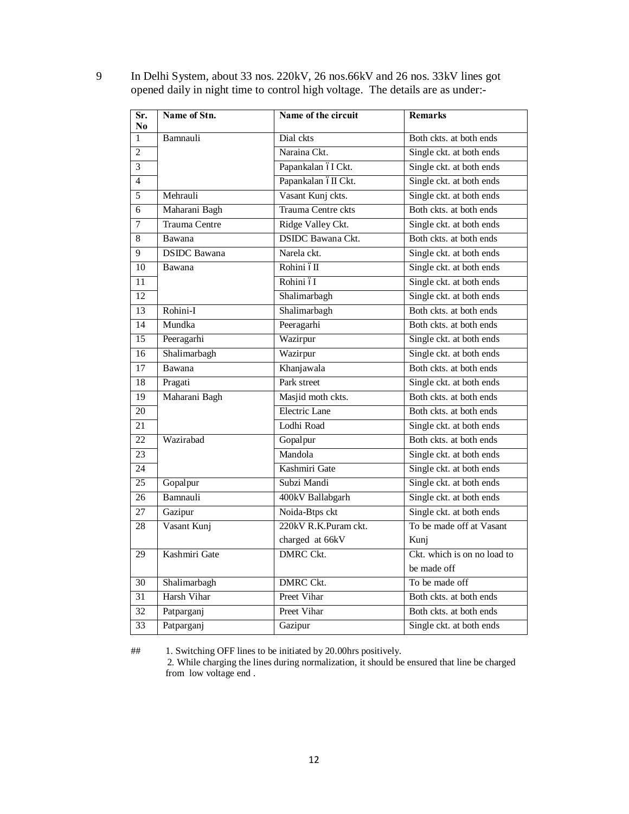| Name of Stn.<br>Sr.<br>No       | Name of the circuit      | <b>Remarks</b>                             |  |  |  |
|---------------------------------|--------------------------|--------------------------------------------|--|--|--|
| $\mathbf{1}$<br>Bamnauli        | Dial ckts                | Both ckts, at both ends                    |  |  |  |
| $\overline{2}$                  | Naraina Ckt.             | Single ckt. at both ends                   |  |  |  |
| $\overline{3}$                  | Papankalan óI Ckt.       | Single ckt. at both ends                   |  |  |  |
| $\overline{4}$                  | Papankalan óII Ckt.      | Single ckt. at both ends                   |  |  |  |
| $\overline{5}$<br>Mehrauli      | Vasant Kunj ckts.        | Single ckt. at both ends                   |  |  |  |
| Maharani Bagh<br>6              | Trauma Centre ckts       | Both ckts. at both ends                    |  |  |  |
| Trauma Centre<br>7              | Ridge Valley Ckt.        | Single ckt. at both ends                   |  |  |  |
| 8<br>Bawana                     | <b>DSIDC</b> Bawana Ckt. | Both ckts. at both ends                    |  |  |  |
| 9<br><b>DSIDC</b> Bawana        | Narela ckt.              | Single ckt. at both ends                   |  |  |  |
| 10<br>Bawana                    | Rohini óII               | Single ckt. at both ends                   |  |  |  |
| 11                              | Rohini óI                | Single ckt. at both ends                   |  |  |  |
| 12                              | Shalimarbagh             | Single ckt. at both ends                   |  |  |  |
| Rohini-I<br>13                  | Shalimarbagh             | Both ckts. at both ends                    |  |  |  |
| Mundka<br>14                    | Peeragarhi               | Both ckts. at both ends                    |  |  |  |
| 15<br>Peeragarhi                | Wazirpur                 | Single ckt. at both ends                   |  |  |  |
| Shalimarbagh<br>$\overline{16}$ | Wazirpur                 | Single ckt. at both ends                   |  |  |  |
| Bawana<br>17                    | Khanjawala               | Both ckts. at both ends                    |  |  |  |
| $\overline{18}$<br>Pragati      | Park street              | Single ckt. at both ends                   |  |  |  |
| Maharani Bagh<br>19             | Masjid moth ckts.        | Both ckts. at both ends                    |  |  |  |
| 20                              | <b>Electric Lane</b>     | Both ckts. at both ends                    |  |  |  |
| 21                              | Lodhi Road               | Single ckt. at both ends                   |  |  |  |
| 22<br>Wazirabad                 | Gopalpur                 | Both ckts. at both ends                    |  |  |  |
| 23                              | Mandola                  | Single ckt. at both ends                   |  |  |  |
| 24                              | Kashmiri Gate            | Single ckt. at both ends                   |  |  |  |
| $\overline{25}$<br>Gopalpur     | Subzi Mandi              | Single ckt. at both ends                   |  |  |  |
| Bamnauli<br>26                  | 400kV Ballabgarh         | Single ckt. at both ends                   |  |  |  |
| $\overline{27}$<br>Gazipur      | Noida-Btps ckt           | Single ckt. at both ends                   |  |  |  |
| Vasant Kunj<br>28               | 220kV R.K.Puram ckt.     | To be made off at Vasant                   |  |  |  |
|                                 | charged at 66kV          | Kunj                                       |  |  |  |
| Kashmiri Gate<br>29             | <b>DMRC Ckt.</b>         | Ckt. which is on no load to<br>be made off |  |  |  |
| Shalimarbagh<br>30              | DMRC Ckt.                | To be made off                             |  |  |  |
| Harsh Vihar<br>31               | Preet Vihar              | Both ckts. at both ends                    |  |  |  |
| 32<br>Patparganj                | Preet Vihar              | Both ckts. at both ends                    |  |  |  |
| $\overline{33}$<br>Patparganj   | Gazipur                  | Single ckt. at both ends                   |  |  |  |

 In Delhi System, about 33 nos. 220kV, 26 nos.66kV and 26 nos. 33kV lines got opened daily in night time to control high voltage. The details are as under:-

## 1. Switching OFF lines to be initiated by 20.00hrs positively. 2. While charging the lines during normalization, it should be ensured that line be charged from low voltage end .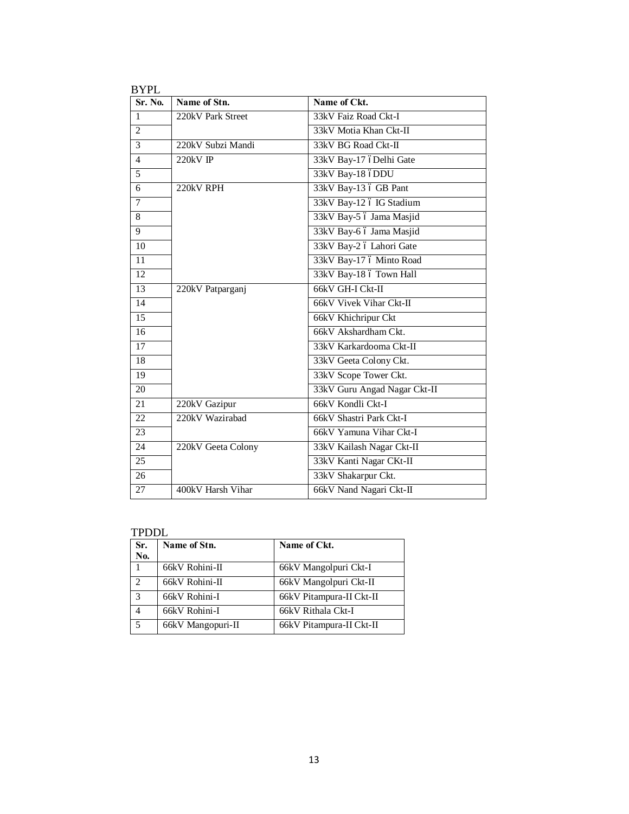| Sr. No.        | Name of Stn.       | Name of Ckt.                 |
|----------------|--------------------|------------------------------|
| $\mathbf{1}$   | 220kV Park Street  | 33kV Faiz Road Ckt-I         |
| $\overline{2}$ |                    | 33kV Motia Khan Ckt-II       |
| 3              | 220kV Subzi Mandi  | 33kV BG Road Ckt-II          |
| $\overline{4}$ | 220kV IP           | 33kV Bay-17 óDelhi Gate      |
| 5              |                    | 33kV Bay-18 óDDU             |
| 6              | 220kV RPH          | 33kV Bay-13 ó GB Pant        |
| $\overline{7}$ |                    | 33kV Bay-12 ó IG Stadium     |
| 8              |                    | 33kV Bay-5 ó Jama Masjid     |
| 9              |                    | 33kV Bay-6 ó Jama Masjid     |
| 10             |                    | 33kV Bay-2 ó Lahori Gate     |
| 11             |                    | 33kV Bay-17 ó Minto Road     |
| 12             |                    | 33kV Bay-18 ó Town Hall      |
| 13             | 220kV Patparganj   | 66kV GH-I Ckt-II             |
| 14             |                    | 66kV Vivek Vihar Ckt-II      |
| 15             |                    | 66kV Khichripur Ckt          |
| 16             |                    | 66kV Akshardham Ckt.         |
| 17             |                    | 33kV Karkardooma Ckt-II      |
| 18             |                    | 33kV Geeta Colony Ckt.       |
| 19             |                    | 33kV Scope Tower Ckt.        |
| 20             |                    | 33kV Guru Angad Nagar Ckt-II |
| 21             | 220kV Gazipur      | 66kV Kondli Ckt-I            |
| 22             | 220kV Wazirabad    | 66kV Shastri Park Ckt-I      |
| 23             |                    | 66kV Yamuna Vihar Ckt-I      |
| 24             | 220kV Geeta Colony | 33kV Kailash Nagar Ckt-II    |
| 25             |                    | 33kV Kanti Nagar CKt-II      |
| 26             |                    | 33kV Shakarpur Ckt.          |
| 27             | 400kV Harsh Vihar  | 66kV Nand Nagari Ckt-II      |

TPDDL

| Sr.<br>No.                  | Name of Stn.      | Name of Ckt.             |
|-----------------------------|-------------------|--------------------------|
|                             | 66kV Rohini-II    | 66kV Mangolpuri Ckt-I    |
| $\mathcal{D}_{\mathcal{A}}$ | 66kV Rohini-II    | 66kV Mangolpuri Ckt-II   |
| 3                           | 66kV Rohini-I     | 66kV Pitampura-II Ckt-II |
| 4                           | 66kV Rohini-I     | 66kV Rithala Ckt-I       |
| 5                           | 66kV Mangopuri-II | 66kV Pitampura-II Ckt-II |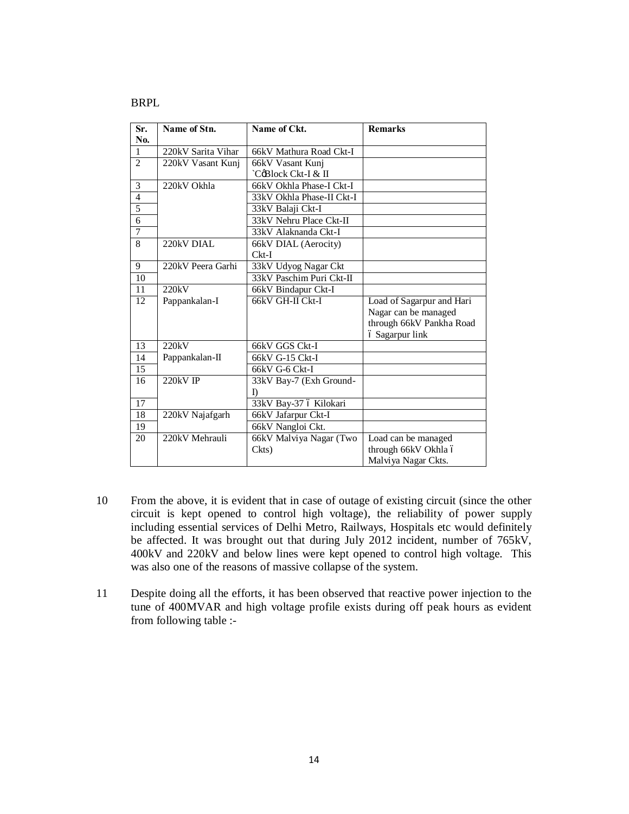#### BRPL

| Sr.                     | Name of Stn.       | Name of Ckt.              | <b>Remarks</b>            |
|-------------------------|--------------------|---------------------------|---------------------------|
| N <sub>0</sub> .        |                    |                           |                           |
| $\mathbf{1}$            | 220kV Sarita Vihar | 66kV Mathura Road Ckt-I   |                           |
| $\overline{2}$          | 220kV Vasant Kunj  | 66kV Vasant Kunj          |                           |
|                         |                    | `CoBlock Ckt-I & II       |                           |
| 3                       | 220kV Okhla        | 66kV Okhla Phase-I Ckt-I  |                           |
| $\overline{\mathbf{4}}$ |                    | 33kV Okhla Phase-II Ckt-I |                           |
| 5                       |                    | 33kV Balaji Ckt-I         |                           |
| $\overline{6}$          |                    | 33kV Nehru Place Ckt-II   |                           |
| 7                       |                    | 33kV Alaknanda Ckt-I      |                           |
| 8                       | 220kV DIAL         | 66kV DIAL (Aerocity)      |                           |
|                         |                    | $Ckt-I$                   |                           |
| 9                       | 220kV Peera Garhi  | 33kV Udyog Nagar Ckt      |                           |
| 10                      |                    | 33kV Paschim Puri Ckt-II  |                           |
| 11                      | 220kV              | 66kV Bindapur Ckt-I       |                           |
| 12                      | Pappankalan-I      | 66kV GH-II Ckt-I          | Load of Sagarpur and Hari |
|                         |                    |                           | Nagar can be managed      |
|                         |                    |                           | through 66kV Pankha Road  |
|                         |                    |                           | ó Sagarpur link           |
| 13                      | 220kV              | 66kV GGS Ckt-I            |                           |
| 14                      | Pappankalan-II     | 66kV G-15 Ckt-I           |                           |
| 15                      |                    | 66kV G-6 Ckt-I            |                           |
| 16                      | 220kV IP           | 33kV Bay-7 (Exh Ground-   |                           |
|                         |                    | D                         |                           |
| 17                      |                    | 33kV Bay-37 ó Kilokari    |                           |
| 18                      | 220kV Najafgarh    | 66kV Jafarpur Ckt-I       |                           |
| 19                      |                    | 66kV Nangloi Ckt.         |                           |
| 20                      | 220kV Mehrauli     | 66kV Malviya Nagar (Two   | Load can be managed       |
|                         |                    | Ckts)                     | through 66kV Okhla ó      |
|                         |                    |                           | Malviya Nagar Ckts.       |

- 10 From the above, it is evident that in case of outage of existing circuit (since the other circuit is kept opened to control high voltage), the reliability of power supply including essential services of Delhi Metro, Railways, Hospitals etc would definitely be affected. It was brought out that during July 2012 incident, number of 765kV, 400kV and 220kV and below lines were kept opened to control high voltage. This was also one of the reasons of massive collapse of the system.
- 11 Despite doing all the efforts, it has been observed that reactive power injection to the tune of 400MVAR and high voltage profile exists during off peak hours as evident from following table :-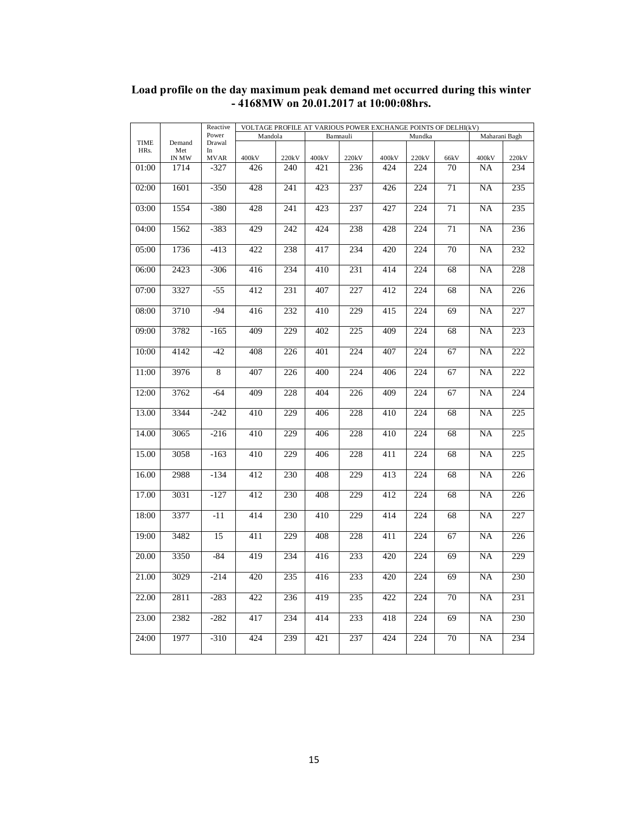|             |              | Reactive        | VOLTAGE PROFILE AT VARIOUS POWER EXCHANGE POINTS OF DELHI(kV)<br>Bamnauli |       |       |                  | Maharani Bagh |                  |      |                 |                  |
|-------------|--------------|-----------------|---------------------------------------------------------------------------|-------|-------|------------------|---------------|------------------|------|-----------------|------------------|
| <b>TIME</b> | Demand       | Power<br>Drawal | Mandola                                                                   |       |       |                  |               | Mundka           |      |                 |                  |
| HRs.        | Met          | In              |                                                                           |       |       |                  |               |                  |      |                 |                  |
|             | <b>IN MW</b> | <b>MVAR</b>     | 400kV                                                                     | 220kV | 400kV | 220kV            | 400kV         | 220kV            | 66kV | 400kV           | 220kV            |
| 01:00       | 1714         | $-327$          | 426                                                                       | 240   | 421   | 236              | 424           | 224              | 70   | NA              | 234              |
|             |              |                 |                                                                           |       |       |                  |               |                  |      |                 |                  |
| 02:00       | 1601         | $-350$          | 428                                                                       | 241   | 423   | 237              | 426           | 224              | 71   | <b>NA</b>       | 235              |
|             |              |                 |                                                                           |       |       |                  |               |                  |      |                 |                  |
| 03:00       | 1554         | $-380$          | 428                                                                       | 241   | 423   | 237              | 427           | 224              | 71   | NA              | 235              |
|             |              |                 |                                                                           |       |       |                  |               |                  |      |                 |                  |
| 04:00       | 1562         | $-383$          | 429                                                                       | 242   | 424   | 238              | 428           | 224              | 71   | NA              | 236              |
|             |              |                 |                                                                           |       |       |                  |               |                  |      |                 |                  |
| 05:00       | 1736         | $-413$          | 422                                                                       | 238   | 417   | 234              | 420           | 224              | 70   | <b>NA</b>       | 232              |
|             |              |                 |                                                                           |       |       |                  |               |                  |      |                 |                  |
| 06:00       | 2423         | $-306$          | 416                                                                       | 234   | 410   | 231              | 414           | 224              | 68   | NA              | 228              |
|             |              |                 |                                                                           |       |       |                  |               |                  |      |                 |                  |
| 07:00       | 3327         | $-55$           | 412                                                                       | 231   | 407   | 227              | 412           | 224              | 68   | NA              | 226              |
|             |              |                 |                                                                           |       |       |                  |               |                  |      |                 |                  |
| 08:00       | 3710         | $-94$           | 416                                                                       | 232   | 410   | 229              | 415           | 224              | 69   | NA              | 227              |
|             |              |                 |                                                                           |       |       |                  |               |                  |      |                 |                  |
| 09:00       | 3782         | $-165$          | 409                                                                       | 229   | 402   | 225              | 409           | 224              | 68   | <b>NA</b>       | 223              |
|             |              |                 |                                                                           |       |       |                  |               |                  |      |                 |                  |
| 10:00       | 4142         | $-42$           | 408                                                                       | 226   | 401   | 224              | 407           | 224              | 67   | <b>NA</b>       | 222              |
|             |              |                 |                                                                           |       |       |                  |               |                  |      |                 |                  |
|             |              |                 |                                                                           |       |       |                  |               |                  |      |                 | $\overline{222}$ |
| 11:00       | 3976         | 8               | 407                                                                       | 226   | 400   | 224              | 406           | 224              | 67   | <b>NA</b>       |                  |
|             |              |                 |                                                                           |       |       |                  |               |                  |      |                 |                  |
| 12:00       | 3762         | $-64$           | 409                                                                       | 228   | 404   | 226              | 409           | 224              | 67   | NA              | 224              |
|             |              |                 |                                                                           |       |       |                  |               |                  |      |                 |                  |
| 13.00       | 3344         | $-242$          | 410                                                                       | 229   | 406   | 228              | 410           | 224              | 68   | <b>NA</b>       | 225              |
|             |              |                 |                                                                           |       |       |                  |               |                  |      |                 |                  |
| 14.00       | 3065         | $-216$          | 410                                                                       | 229   | 406   | 228              | 410           | 224              | 68   | NA              | 225              |
|             |              |                 |                                                                           |       |       |                  |               |                  |      |                 |                  |
| 15.00       | 3058         | $-163$          | 410                                                                       | 229   | 406   | 228              | 411           | 224              | 68   | NA              | 225              |
|             |              |                 |                                                                           |       |       |                  |               |                  |      |                 |                  |
| 16.00       | 2988         | $-134$          | 412                                                                       | 230   | 408   | 229              | 413           | 224              | 68   | <b>NA</b>       | 226              |
|             |              |                 |                                                                           |       |       |                  |               |                  |      |                 |                  |
| 17.00       | 3031         | $-127$          | 412                                                                       | 230   | 408   | 229              | 412           | 224              | 68   | $\overline{NA}$ | 226              |
|             |              |                 |                                                                           |       |       |                  |               |                  |      |                 |                  |
| 18:00       | 3377         | $-11$           | 414                                                                       | 230   | 410   | $\overline{229}$ | 414           | $\overline{224}$ | 68   | NA              | $\overline{227}$ |
|             |              |                 |                                                                           |       |       |                  |               |                  |      |                 |                  |
| 19:00       | 3482         | 15              | 411                                                                       | 229   | 408   | 228              | 411           | 224              | 67   | NA              | 226              |
|             |              |                 |                                                                           |       |       |                  |               |                  |      |                 |                  |
| 20.00       | 3350         | $-84$           | 419                                                                       | 234   | 416   | 233              | 420           | 224              | 69   | <b>NA</b>       | 229              |
|             |              |                 |                                                                           |       |       |                  |               |                  |      |                 |                  |
| 21.00       | 3029         | $-214$          | 420                                                                       | 235   | 416   | 233              | 420           | 224              | 69   | NA              | 230              |
|             |              |                 |                                                                           |       |       |                  |               |                  |      |                 |                  |
| 22.00       | 2811         | $-283$          | 422                                                                       | 236   | 419   | 235              | 422           | 224              | 70   | NA              | 231              |
|             |              |                 |                                                                           |       |       |                  |               |                  |      |                 |                  |
| 23.00       | 2382         | $-282$          | 417                                                                       | 234   | 414   | 233              | 418           | 224              | 69   | NA              | 230              |
|             |              |                 |                                                                           |       |       |                  |               |                  |      |                 |                  |
| 24:00       | 1977         | $-310$          | 424                                                                       | 239   | 421   | 237              | 424           | 224              | 70   | <b>NA</b>       | 234              |
|             |              |                 |                                                                           |       |       |                  |               |                  |      |                 |                  |
|             |              |                 |                                                                           |       |       |                  |               |                  |      |                 |                  |

### **Load profile on the day maximum peak demand met occurred during this winter - 4168MW on 20.01.2017 at 10:00:08hrs.**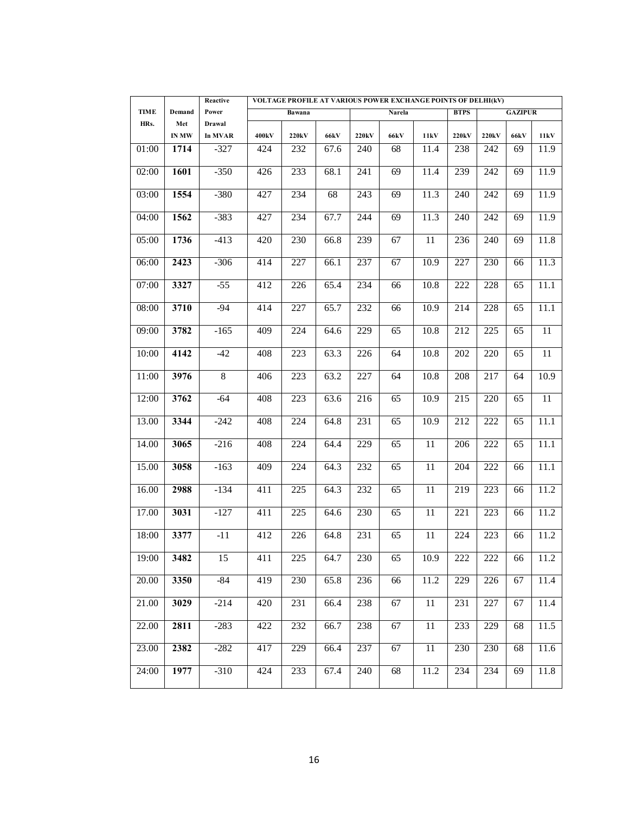|             |        | Reactive | VOLTAGE PROFILE AT VARIOUS POWER EXCHANGE POINTS OF DELHI(kV) |                    |                   |       |             |      |             |       |                |      |
|-------------|--------|----------|---------------------------------------------------------------|--------------------|-------------------|-------|-------------|------|-------------|-------|----------------|------|
| <b>TIME</b> | Demand | Power    |                                                               | Bawana             |                   |       | Narela      |      | <b>BTPS</b> |       | <b>GAZIPUR</b> |      |
| HRs.        | Met    | Drawal   |                                                               |                    |                   |       |             |      |             |       |                |      |
|             | IN MW  | In MVAR  | 400 <sub>k</sub> V                                            | 220 <sub>k</sub> V | <b>66kV</b>       | 220kV | <b>66kV</b> | 11kV | 220kV       | 220kV | <b>66kV</b>    | 11kV |
| 01:00       | 1714   | $-327$   | 424                                                           | 232                | 67.6              | 240   | 68          | 11.4 | 238         | 242   | 69             | 11.9 |
| 02:00       | 1601   | $-350$   | 426                                                           | 233                | 68.1              | 241   | 69          | 11.4 | 239         | 242   | 69             | 11.9 |
| 03:00       | 1554   | $-380$   | 427                                                           | 234                | 68                | 243   | 69          | 11.3 | 240         | 242   | 69             | 11.9 |
| 04:00       | 1562   | $-383$   | 427                                                           | 234                | 67.7              | 244   | 69          | 11.3 | 240         | 242   | 69             | 11.9 |
| 05:00       | 1736   | $-413$   | 420                                                           | 230                | 66.8              | 239   | 67          | 11   | 236         | 240   | 69             | 11.8 |
| 06:00       | 2423   | $-306$   | 414                                                           | 227                | 66.1              | 237   | 67          | 10.9 | 227         | 230   | 66             | 11.3 |
| 07:00       | 3327   | $-55$    | 412                                                           | 226                | 65.4              | 234   | 66          | 10.8 | 222         | 228   | 65             | 11.1 |
| 08:00       | 3710   | $-94$    | 414                                                           | 227                | 65.7              | 232   | 66          | 10.9 | 214         | 228   | 65             | 11.1 |
| 09:00       | 3782   | $-165$   | 409                                                           | 224                | 64.6              | 229   | 65          | 10.8 | 212         | 225   | 65             | 11   |
| 10:00       | 4142   | $-42$    | 408                                                           | 223                | 63.3              | 226   | 64          | 10.8 | 202         | 220   | 65             | 11   |
| 11:00       | 3976   | 8        | 406                                                           | 223                | 63.2              | 227   | 64          | 10.8 | 208         | 217   | 64             | 10.9 |
| 12:00       | 3762   | $-64$    | 408                                                           | 223                | 63.6              | 216   | 65          | 10.9 | 215         | 220   | 65             | 11   |
| 13.00       | 3344   | $-242$   | 408                                                           | 224                | 64.8              | 231   | 65          | 10.9 | 212         | 222   | 65             | 11.1 |
| 14.00       | 3065   | $-216$   | 408                                                           | 224                | 64.4              | 229   | 65          | 11   | 206         | 222   | 65             | 11.1 |
| 15.00       | 3058   | $-163$   | 409                                                           | 224                | 64.3              | 232   | 65          | 11   | 204         | 222   | 66             | 11.1 |
| 16.00       | 2988   | $-134$   | 411                                                           | 225                | 64.3              | 232   | 65          | 11   | 219         | 223   | 66             | 11.2 |
| 17.00       | 3031   | $-127$   | 411                                                           | 225                | 64.6              | 230   | 65          | 11   | 221         | 223   | 66             | 11.2 |
| 18:00       | 3377   | $-11$    | 412                                                           | 226                | 64.8              | 231   | 65          | 11   | 224         | 223   | 66             | 11.2 |
| 19:00       | 3482   | 15       | 411                                                           | 225                | 64.7              | 230   | 65          | 10.9 | 222         | 222   | 66             | 11.2 |
| 20.00       | 3350   | $-84$    | 419                                                           | 230                | $65.\overline{8}$ | 236   | 66          | 11.2 | 229         | 226   | 67             | 11.4 |
| 21.00       | 3029   | $-214$   | 420                                                           | 231                | 66.4              | 238   | 67          | 11   | 231         | 227   | 67             | 11.4 |
| 22.00       | 2811   | $-283$   | 422                                                           | 232                | 66.7              | 238   | 67          | 11   | 233         | 229   | 68             | 11.5 |
| 23.00       | 2382   | $-282$   | 417                                                           | 229                | 66.4              | 237   | 67          | 11   | 230         | 230   | 68             | 11.6 |
| 24:00       | 1977   | $-310$   | 424                                                           | 233                | 67.4              | 240   | 68          | 11.2 | 234         | 234   | 69             | 11.8 |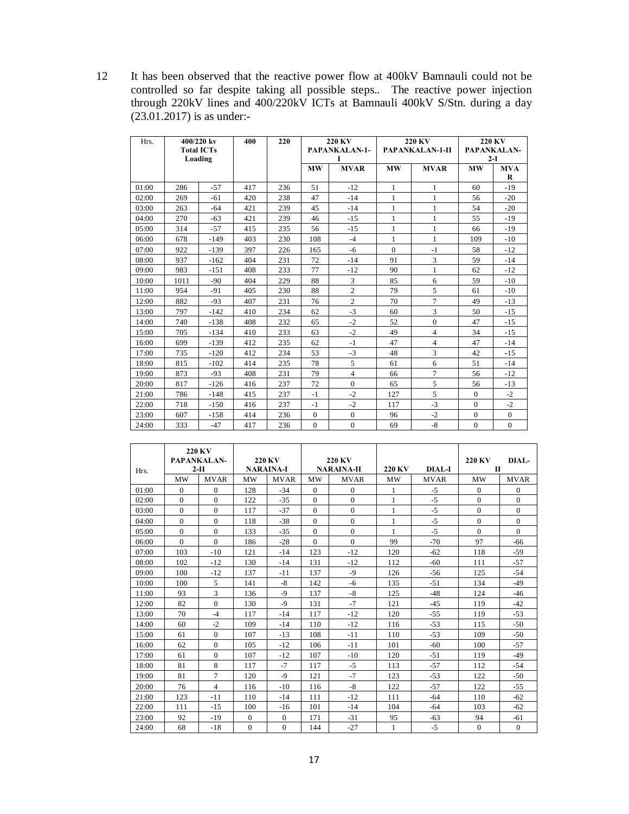12 It has been observed that the reactive power flow at 400kV Bamnauli could not be controlled so far despite taking all possible steps.. The reactive power injection through 220kV lines and 400/220kV ICTs at Bamnauli 400kV S/Stn. during a day (23.01.2017) is as under:-

| Hrs.  | 400/220 kv<br><b>Total ICTs</b><br>Loading |        | 400 | 220 |           | <b>220 KV</b><br><b>PAPANKALAN-1-</b><br>I |              | <b>220 KV</b><br>PAPANKALAN-1-II | $2-I$    | <b>220 KV</b><br>PAPANKALAN- |
|-------|--------------------------------------------|--------|-----|-----|-----------|--------------------------------------------|--------------|----------------------------------|----------|------------------------------|
|       |                                            |        |     |     | <b>MW</b> | <b>MVAR</b>                                | <b>MW</b>    | <b>MVAR</b>                      | MW       | <b>MVA</b><br>R              |
| 01:00 | 286                                        | $-57$  | 417 | 236 | 51        | $-12$                                      | 1            | 1                                | 60       | $-19$                        |
| 02:00 | 269                                        | $-61$  | 420 | 238 | 47        | $-14$                                      | $\mathbf{1}$ | $\mathbf{1}$                     | 56       | $-20$                        |
| 03:00 | 263                                        | $-64$  | 421 | 239 | 45        | $-14$                                      | 1            | 1                                | 54       | $-20$                        |
| 04:00 | 270                                        | $-63$  | 421 | 239 | 46        | $-15$                                      | 1            | 1                                | 55       | $-19$                        |
| 05:00 | 314                                        | $-57$  | 415 | 235 | 56        | $-15$                                      | 1            | 1                                | 66       | $-19$                        |
| 06:00 | 678                                        | $-149$ | 403 | 230 | 108       | $-4$                                       | 1            | 1                                | 109      | $-10$                        |
| 07:00 | 922                                        | $-139$ | 397 | 226 | 165       | $-6$                                       | $\Omega$     | $-1$                             | 58       | $-12$                        |
| 08:00 | 937                                        | $-162$ | 404 | 231 | 72        | $-14$                                      | 91           | 3                                | 59       | $-14$                        |
| 09:00 | 983                                        | $-151$ | 408 | 233 | 77        | $-12$                                      | 90           | 1                                | 62       | $-12$                        |
| 10:00 | 1011                                       | $-90$  | 404 | 229 | 88        | 3                                          | 85           | 6                                | 59       | $-10$                        |
| 11:00 | 954                                        | $-91$  | 405 | 230 | 88        | $\overline{c}$                             | 79           | 5                                | 61       | $-10$                        |
| 12:00 | 882                                        | $-93$  | 407 | 231 | 76        | $\overline{2}$                             | 70           | 7                                | 49       | $-13$                        |
| 13:00 | 797                                        | $-142$ | 410 | 234 | 62        | $-3$                                       | 60           | 3                                | 50       | $-15$                        |
| 14:00 | 740                                        | $-138$ | 408 | 232 | 65        | $-2$                                       | 52           | $\overline{0}$                   | 47       | $-15$                        |
| 15:00 | 705                                        | $-134$ | 410 | 233 | 63        | $-2$                                       | 49           | 4                                | 34       | $-15$                        |
| 16:00 | 699                                        | $-139$ | 412 | 235 | 62        | $-1$                                       | 47           | 4                                | 47       | $-14$                        |
| 17:00 | 735                                        | $-120$ | 412 | 234 | 53        | $-3$                                       | 48           | 3                                | 42       | $-15$                        |
| 18:00 | 815                                        | $-102$ | 414 | 235 | 78        | 5                                          | 61           | 6                                | 51       | $-14$                        |
| 19:00 | 873                                        | $-93$  | 408 | 231 | 79        | $\overline{4}$                             | 66           | 7                                | 56       | $-12$                        |
| 20:00 | 817                                        | $-126$ | 416 | 237 | 72        | $\Omega$                                   | 65           | 5                                | 56       | $-13$                        |
| 21:00 | 786                                        | $-148$ | 415 | 237 | $-1$      | $-2$                                       | 127          | 5                                | $\Omega$ | $-2$                         |
| 22:00 | 718                                        | $-150$ | 416 | 237 | $-1$      | $-2$                                       | 117          | $-3$                             | $\Omega$ | $-2$                         |
| 23:00 | 607                                        | $-158$ | 414 | 236 | $\Omega$  | $\Omega$                                   | 96           | $-2$                             | $\Omega$ | $\Omega$                     |
| 24:00 | 333                                        | $-47$  | 417 | 236 | $\Omega$  | $\Omega$                                   | 69           | $-8$                             | $\Omega$ | $\Omega$                     |

| Hrs.  |          | <b>220 KV</b><br>PAPANKALAN-<br>$2-II$ | <b>NARAINA-I</b> | <b>220 KV</b> |           | 220 KV<br><b>NARAINA-II</b> | 220 KV       | <b>DIAL-I</b> | <b>220 KV</b><br>$\mathbf{H}$ | DIAI <sub>z</sub> |
|-------|----------|----------------------------------------|------------------|---------------|-----------|-----------------------------|--------------|---------------|-------------------------------|-------------------|
|       | MW       | <b>MVAR</b>                            | <b>MW</b>        | <b>MVAR</b>   | <b>MW</b> | <b>MVAR</b>                 | <b>MW</b>    | <b>MVAR</b>   | <b>MW</b>                     | <b>MVAR</b>       |
| 01:00 | $\Omega$ | $\Omega$                               | 128              | $-34$         | $\theta$  | $\Omega$                    | 1            | $-5$          | $\mathbf{0}$                  | 0                 |
| 02:00 | $\Omega$ | $\Omega$                               | 122              | $-35$         | $\Omega$  | $\Omega$                    | 1            | $-5$          | $\Omega$                      | $\theta$          |
| 03:00 | $\Omega$ | $\Omega$                               | 117              | $-37$         | $\Omega$  | $\Omega$                    | 1            | $-5$          | $\overline{0}$                | $\Omega$          |
| 04:00 | $\Omega$ | $\Omega$                               | 118              | $-38$         | $\theta$  | $\Omega$                    | 1            | $-5$          | $\mathbf{0}$                  | $\Omega$          |
| 05:00 | $\Omega$ | $\Omega$                               | 133              | $-35$         | $\Omega$  | $\Omega$                    | 1            | $-5$          | $\Omega$                      | $\Omega$          |
| 06:00 | $\Omega$ | $\Omega$                               | 186              | $-28$         | $\Omega$  | $\Omega$                    | 99           | $-70$         | 97                            | -66               |
| 07:00 | 103      | $-10$                                  | 121              | $-14$         | 123       | $-12$                       | 120          | $-62$         | 118                           | $-59$             |
| 08:00 | 102      | $-12$                                  | 130              | $-14$         | 131       | $-12$                       | 112          | $-60$         | 111                           | $-57$             |
| 09:00 | 100      | $-12$                                  | 137              | $-11$         | 137       | $-9$                        | 126          | $-56$         | 125                           | $-54$             |
| 10:00 | 100      | 5                                      | 141              | $-8$          | 142       | $-6$                        | 135          | $-51$         | 134                           | $-49$             |
| 11:00 | 93       | 3                                      | 136              | $-9$          | 137       | $-8$                        | 125          | $-48$         | 124                           | $-46$             |
| 12:00 | 82       | $\Omega$                               | 130              | $-9$          | 131       | $-7$                        | 121          | $-45$         | 119                           | $-42$             |
| 13:00 | 70       | $-4$                                   | 117              | $-14$         | 117       | $-12$                       | 120          | $-55$         | 119                           | $-53$             |
| 14:00 | 60       | $-2$                                   | 109              | $-14$         | 110       | $-12$                       | 116          | $-53$         | 115                           | $-50$             |
| 15:00 | 61       | $\Omega$                               | 107              | $-13$         | 108       | $-11$                       | 110          | $-53$         | 109                           | $-50$             |
| 16:00 | 62       | $\Omega$                               | 105              | $-12$         | 106       | $-11$                       | 101          | $-60$         | 100                           | $-57$             |
| 17:00 | 61       | $\Omega$                               | 107              | $-12$         | 107       | $-10$                       | 120          | $-51$         | 119                           | $-49$             |
| 18:00 | 81       | 8                                      | 117              | $-7$          | 117       | $-5$                        | 113          | $-57$         | 112                           | $-54$             |
| 19:00 | 81       | 7                                      | 120              | $-9$          | 121       | $-7$                        | 123          | $-53$         | 122                           | $-50$             |
| 20:00 | 76       | $\overline{\mathbf{4}}$                | 116              | $-10$         | 116       | $-8$                        | 122          | $-57$         | 122                           | $-55$             |
| 21:00 | 123      | $-11$                                  | 110              | $-14$         | 111       | $-12$                       | 111          | $-64$         | 110                           | $-62$             |
| 22:00 | 111      | $-1.5$                                 | 100              | $-16$         | 101       | $-14$                       | 104          | $-64$         | 103                           | $-62$             |
| 23:00 | 92       | $-19$                                  | $\Omega$         | $\Omega$      | 171       | $-31$                       | 95           | $-63$         | 94                            | $-61$             |
| 24:00 | 68       | $-18$                                  | $\overline{0}$   | $\mathbf{0}$  | 144       | $-27$                       | $\mathbf{1}$ | $-5$          | $\mathbf{0}$                  | $\Omega$          |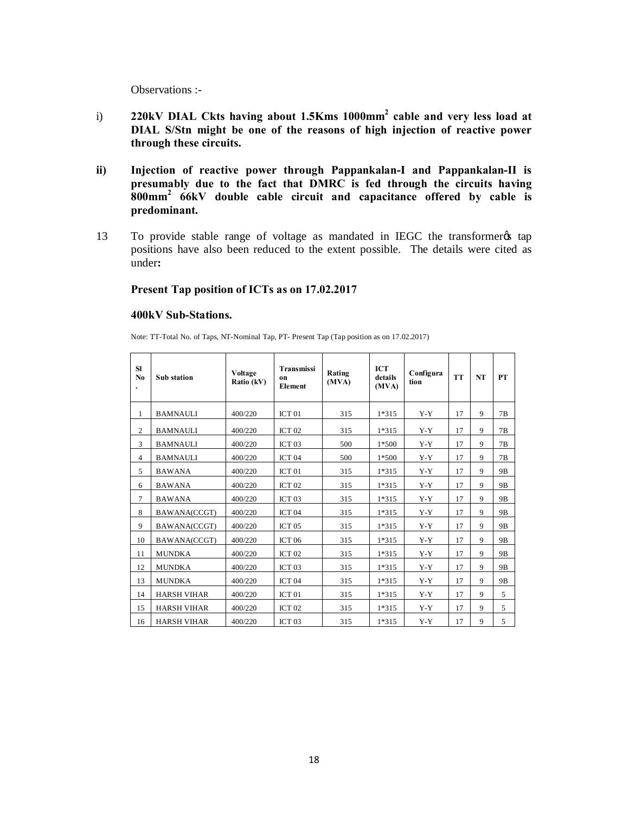Observations :-

- i) **220kV DIAL Ckts having about 1.5Kms 1000mm2 cable and very less load at DIAL S/Stn might be one of the reasons of high injection of reactive power through these circuits.**
- **ii) Injection of reactive power through Pappankalan-I and Pappankalan-II is presumably due to the fact that DMRC is fed through the circuits having 800mm2 66kV double cable circuit and capacitance offered by cable is predominant.**
- 13 To provide stable range of voltage as mandated in IEGC the transformer tap positions have also been reduced to the extent possible. The details were cited as under**:**

### **Present Tap position of ICTs as on 17.02.2017**

#### **400kV Sub-Stations.**

Note: TT-Total No. of Taps, NT-Nominal Tap, PT- Present Tap (Tap position as on 17.02.2017)

| SI<br>N <sub>0</sub> | <b>Sub</b> station | Voltage<br>Ratio (kV) | <b>Transmissi</b><br>on<br><b>Element</b> | Rating<br>(MVA) | <b>ICT</b><br>details<br>(MVA) | Configura<br>tion | <b>TT</b> | NT | <b>PT</b>      |
|----------------------|--------------------|-----------------------|-------------------------------------------|-----------------|--------------------------------|-------------------|-----------|----|----------------|
| 1                    | <b>BAMNAULI</b>    | 400/220               | ICT <sub>01</sub>                         | 315             | 1*315                          | $Y - Y$           | 17        | 9  | 7B             |
| $\overline{c}$       | <b>BAMNAULI</b>    | 400/220               | ICT <sub>02</sub>                         | 315             | 1*315                          | $Y - Y$           | 17        | 9  | 7B             |
| 3                    | <b>BAMNAULI</b>    | 400/220               | ICT <sub>03</sub>                         | 500             | $1*500$                        | $Y - Y$           | 17        | 9  | 7B             |
| $\overline{4}$       | <b>BAMNAULI</b>    | 400/220               | ICT <sub>04</sub>                         | 500             | $1*500$                        | $Y-Y$             | 17        | 9  | 7B             |
| 5                    | <b>BAWANA</b>      | 400/220               | ICT <sub>01</sub>                         | 315             | 1*315                          | $Y - Y$           | 17        | 9  | 9 <sub>B</sub> |
| 6                    | <b>BAWANA</b>      | 400/220               | ICT <sub>02</sub>                         | 315             | 1*315                          | $Y - Y$           | 17        | 9  | 9 <sub>B</sub> |
| 7                    | <b>BAWANA</b>      | 400/220               | ICT <sub>03</sub>                         | 315             | 1*315                          | $Y - Y$           | 17        | 9  | 9B             |
| 8                    | BAWANA(CCGT)       | 400/220               | ICT <sub>04</sub>                         | 315             | 1*315                          | $Y - Y$           | 17        | 9  | 9B             |
| 9                    | BAWANA(CCGT)       | 400/220               | ICT <sub>05</sub>                         | 315             | 1*315                          | $Y - Y$           | 17        | 9  | 9B             |
| 10                   | BAWANA(CCGT)       | 400/220               | <b>ICT 06</b>                             | 315             | 1*315                          | $Y - Y$           | 17        | 9  | 9B             |
| 11                   | <b>MUNDKA</b>      | 400/220               | ICT <sub>02</sub>                         | 315             | 1*315                          | $Y - Y$           | 17        | 9  | 9B             |
| 12                   | <b>MUNDKA</b>      | 400/220               | ICT <sub>03</sub>                         | 315             | 1*315                          | $Y - Y$           | 17        | 9  | 9 <sub>B</sub> |
| 13                   | <b>MUNDKA</b>      | 400/220               | ICT <sub>04</sub>                         | 315             | 1*315                          | $Y - Y$           | 17        | 9  | 9 <sub>B</sub> |
| 14                   | <b>HARSH VIHAR</b> | 400/220               | ICT <sub>01</sub>                         | 315             | 1*315                          | $Y - Y$           | 17        | 9  | 5              |
| 15                   | <b>HARSH VIHAR</b> | 400/220               | ICT <sub>02</sub>                         | 315             | 1*315                          | $Y - Y$           | 17        | 9  | 5              |
| 16                   | <b>HARSH VIHAR</b> | 400/220               | ICT <sub>03</sub>                         | 315             | 1*315                          | $Y - Y$           | 17        | 9  | 5              |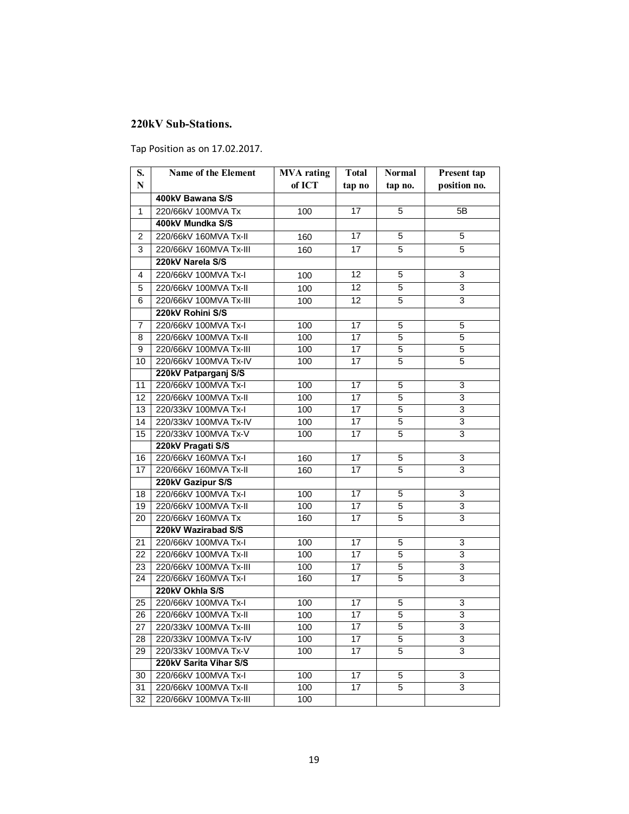## **220kV Sub-Stations.**

Tap Position as on 17.02.2017.

| S.              | Name of the Element    | <b>MVA</b> rating | <b>Total</b>    | <b>Normal</b>  | Present tap    |
|-----------------|------------------------|-------------------|-----------------|----------------|----------------|
| ${\bf N}$       |                        | of ICT            | tap no          | tap no.        | position no.   |
|                 | 400kV Bawana S/S       |                   |                 |                |                |
| 1               | 220/66kV 100MVA Tx     | 100               | 17              | 5              | 5B             |
|                 | 400kV Mundka S/S       |                   |                 |                |                |
| 2               | 220/66kV 160MVA Tx-II  | 160               | 17              | 5              | 5              |
| 3               | 220/66kV 160MVA Tx-III | 160               | 17              | 5              | 5              |
|                 | 220kV Narela S/S       |                   |                 |                |                |
| 4               | 220/66kV 100MVA Tx-I   | 100               | 12              | 5              | 3              |
| 5               | 220/66kV 100MVA Tx-II  | 100               | 12              | 5              | $\overline{3}$ |
| 6               | 220/66kV 100MVA Tx-III | 100               | 12              | 5              | 3              |
|                 | 220kV Rohini S/S       |                   |                 |                |                |
| 7               | 220/66kV 100MVA Tx-I   | 100               | $\overline{17}$ | 5              | 5              |
| 8               | 220/66kV 100MVA Tx-II  | 100               | 17              | 5              | 5              |
| 9               | 220/66kV 100MVA Tx-III | 100               | $\overline{17}$ | 5              | 5              |
| 10              | 220/66kV 100MVA Tx-IV  | 100               | 17              | 5              | 5              |
|                 | 220kV Patparganj S/S   |                   |                 |                |                |
| 11              | 220/66kV 100MVA Tx-I   | 100               | 17              | 5              | 3              |
| 12              | 220/66kV 100MVA Tx-II  | 100               | 17              | 5              | 3              |
| 13              | 220/33kV 100MVA Tx-I   | 100               | 17              | 5              | 3              |
| 14              | 220/33kV 100MVA Tx-IV  | 100               | 17              | $\overline{5}$ | 3              |
| 15              | 220/33kV 100MVA Tx-V   | 100               | 17              | $\overline{5}$ | 3              |
|                 | 220kV Pragati S/S      |                   |                 |                |                |
| 16              | 220/66kV 160MVA Tx-I   | 160               | 17              | $\overline{5}$ | 3              |
| 17              | 220/66kV 160MVA Tx-II  | 160               | 17              | 5              | 3              |
|                 | 220kV Gazipur S/S      |                   |                 |                |                |
| 18              | 220/66kV 100MVA Tx-I   | 100               | 17              | 5              | 3              |
| 19              | 220/66kV 100MVA Tx-II  | 100               | 17              | 5              | 3              |
| 20              | 220/66kV 160MVA Tx     | 160               | 17              | 5              | 3              |
|                 | 220kV Wazirabad S/S    |                   |                 |                |                |
| 21              | 220/66kV 100MVA Tx-I   | 100               | $\overline{17}$ | 5              | 3              |
| 22              | 220/66kV 100MVA Tx-II  | 100               | 17              | 5              | $\overline{3}$ |
| 23              | 220/66kV 100MVA Tx-III | 100               | 17              | 5              | 3              |
| 24              | 220/66kV 160MVA Tx-I   | 160               | 17              | 5              | 3              |
|                 | 220kV Okhla S/S        |                   |                 |                |                |
| 25              | 220/66kV 100MVA Tx-I   | 100               | 17              | 5              | 3              |
| 26              | 220/66kV 100MVA Tx-II  | 100               | 17              | $\overline{5}$ | 3              |
| $\overline{27}$ | 220/33kV 100MVA Tx-III | 100               | 17              | $\overline{5}$ | 3              |
| 28              | 220/33kV 100MVA Tx-IV  | 100               | 17              | 5              | 3              |
| 29              | 220/33kV 100MVA Tx-V   | 100               | 17              | 5              | 3              |
|                 | 220kV Sarita Vihar S/S |                   |                 |                |                |
| 30              | 220/66kV 100MVA Tx-I   | 100               | 17              | 5              | 3              |
| 31              | 220/66kV 100MVA Tx-II  | 100               | 17              | 5              | 3              |
| 32              | 220/66kV 100MVA Tx-III | 100               |                 |                |                |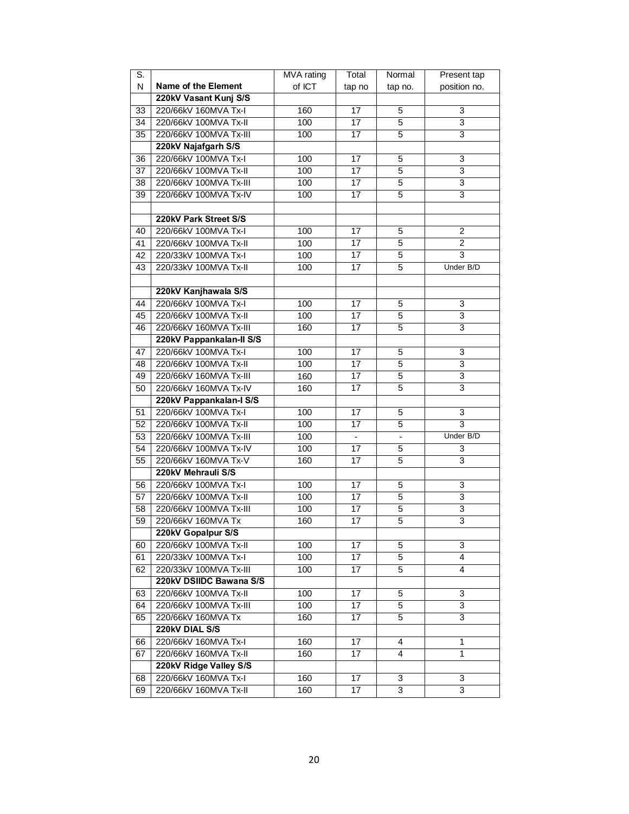| S.              |                            | MVA rating | Total                    | Normal                   | Present tap    |
|-----------------|----------------------------|------------|--------------------------|--------------------------|----------------|
| N               | <b>Name of the Element</b> | of ICT     | tap no                   | tap no.                  | position no.   |
|                 | 220kV Vasant Kunj S/S      |            |                          |                          |                |
| 33              | 220/66kV 160MVA Tx-I       | 160        | 17                       | 5                        | 3              |
| 34              | 220/66kV 100MVA Tx-II      | 100        | 17                       | 5                        | 3              |
| 35              | 220/66kV 100MVA Tx-III     | 100        | 17                       | 5                        | 3              |
|                 | 220kV Najafgarh S/S        |            |                          |                          |                |
| 36              | 220/66kV 100MVA Tx-I       | 100        | 17                       | 5                        | 3              |
| $\overline{37}$ | 220/66kV 100MVA Tx-II      | 100        | 17                       | 5                        | $\overline{3}$ |
| 38              | 220/66kV 100MVA Tx-III     | 100        | 17                       | 5                        | 3              |
| 39              | 220/66kV 100MVA Tx-IV      | 100        | 17                       | 5                        | 3              |
|                 |                            |            |                          |                          |                |
|                 | 220kV Park Street S/S      |            |                          |                          |                |
| 40              | 220/66kV 100MVA Tx-I       | 100        | 17                       | 5                        | $\overline{c}$ |
| 41              | 220/66kV 100MVA Tx-II      | 100        | 17                       | 5                        | $\overline{c}$ |
| 42              | 220/33kV 100MVA Tx-I       | 100        | 17                       | 5                        | $\overline{3}$ |
| 43              | 220/33kV 100MVA Tx-II      | 100        | 17                       | 5                        | Under B/D      |
|                 |                            |            |                          |                          |                |
|                 | 220kV Kanjhawala S/S       |            |                          |                          |                |
| 44              | 220/66kV 100MVA Tx-I       | 100        | 17                       | 5                        | 3              |
| 45              | 220/66kV 100MVA Tx-II      | 100        | 17                       | 5                        | 3              |
| 46              | 220/66kV 160MVA Tx-III     | 160        | 17                       | 5                        | 3              |
|                 | 220kV Pappankalan-II S/S   |            |                          |                          |                |
| 47              | 220/66kV 100MVA Tx-I       | 100        | 17                       | 5                        | 3              |
| 48              | 220/66kV 100MVA Tx-II      | 100        | 17                       | 5                        | 3              |
| 49              | 220/66kV 160MVA Tx-III     | 160        | 17                       | 5                        | 3              |
| 50              | 220/66kV 160MVA Tx-IV      | 160        | 17                       | 5                        | 3              |
|                 | 220kV Pappankalan-I S/S    |            |                          |                          |                |
| 51              | 220/66kV 100MVA Tx-I       | 100        | 17                       | 5                        | 3              |
| 52              | 220/66kV 100MVA Tx-II      | 100        | 17                       | 5                        | $\overline{3}$ |
| 53              | 220/66kV 100MVA Tx-III     | 100        | $\overline{\phantom{a}}$ | $\overline{\phantom{a}}$ | Under B/D      |
| 54              | 220/66kV 100MVA Tx-IV      | 100        | 17                       | 5                        | 3              |
| 55              | 220/66kV 160MVA Tx-V       | 160        | 17                       | 5                        | 3              |
|                 | 220kV Mehrauli S/S         |            |                          |                          |                |
| 56              | 220/66kV 100MVA Tx-I       | 100        | 17                       | 5                        | 3              |
| 57              | 220/66kV 100MVA Tx-II      | 100        | 17                       | 5                        | 3              |
| 58              | 220/66kV 100MVA Tx-III     | 100        | 17                       | 5                        | $\overline{3}$ |
| 59              | 220/66kV 160MVA Tx         | 160        | 17                       | 5                        | 3              |
|                 | 220kV Gopalpur S/S         |            |                          |                          |                |
| 60              | 220/66kV 100MVA Tx-II      | 100        | 17                       | 5                        | 3              |
| 61              | 220/33kV 100MVA Tx-I       | 100        | 17                       | 5                        | 4              |
| 62              | 220/33kV 100MVA Tx-III     | 100        | 17                       | $\overline{5}$           | 4              |
|                 | 220kV DSIIDC Bawana S/S    |            |                          |                          |                |
| 63              | 220/66kV 100MVA Tx-II      | 100        | 17                       | 5                        | 3              |
| 64              | 220/66kV 100MVA Tx-III     | 100        | 17                       | 5                        | 3              |
| 65              | 220/66kV 160MVA Tx         | 160        | 17                       | 5                        | 3              |
|                 | 220kV DIAL S/S             |            |                          |                          |                |
| 66              | 220/66kV 160MVA Tx-I       | 160        | 17                       | 4                        | 1              |
| 67              | 220/66kV 160MVA Tx-II      | 160        | 17                       | 4                        | 1              |
|                 | 220kV Ridge Valley S/S     |            |                          |                          |                |
| 68              | 220/66kV 160MVA Tx-I       | 160        | 17                       | 3                        | 3              |
| 69              | 220/66kV 160MVA Tx-II      | 160        | 17                       | 3                        | 3              |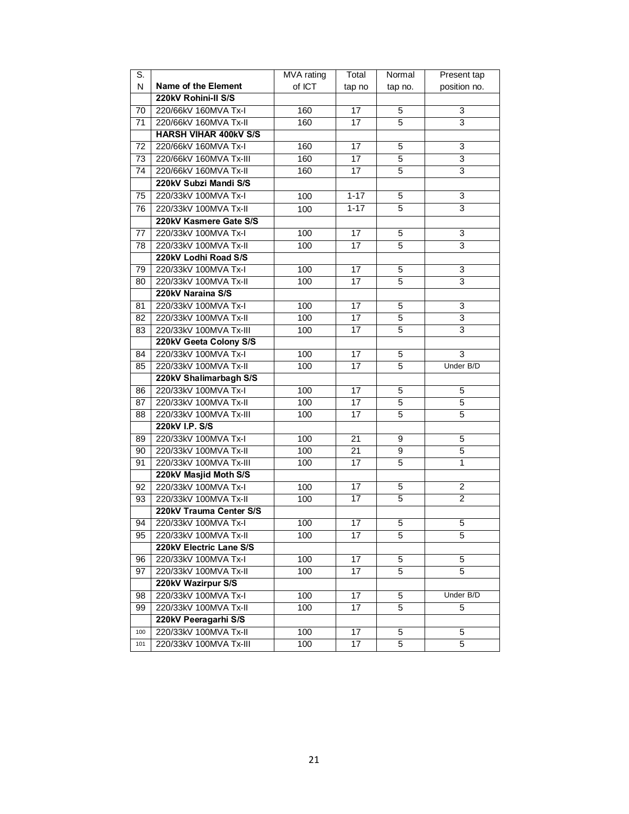| S.  |                              | <b>MVA</b> rating | Total           | Normal         | Present tap    |
|-----|------------------------------|-------------------|-----------------|----------------|----------------|
| N   | <b>Name of the Element</b>   | of ICT            | tap no          | tap no.        | position no.   |
|     | 220kV Rohini-II S/S          |                   |                 |                |                |
| 70  | 220/66kV 160MVA Tx-I         | 160               | 17              | 5              | 3              |
| 71  | 220/66kV 160MVA Tx-II        | 160               | 17              | 5              | 3              |
|     | <b>HARSH VIHAR 400KV S/S</b> |                   |                 |                |                |
| 72  | 220/66kV 160MVA Tx-I         | 160               | 17              | 5              | 3              |
| 73  | 220/66kV 160MVA Tx-III       | 160               | 17              | 5              | 3              |
| 74  | 220/66kV 160MVA Tx-II        | 160               | 17              | 5              | $\overline{3}$ |
|     | 220kV Subzi Mandi S/S        |                   |                 |                |                |
| 75  | 220/33kV 100MVA Tx-I         | 100               | $1 - 17$        | 5              | 3              |
| 76  | 220/33kV 100MVA Tx-II        | 100               | $1 - 17$        | 5              | 3              |
|     | 220kV Kasmere Gate S/S       |                   |                 |                |                |
| 77  | 220/33kV 100MVA Tx-I         | 100               | 17              | 5              | 3              |
| 78  | 220/33kV 100MVA Tx-II        | 100               | 17              | 5              | 3              |
|     | 220kV Lodhi Road S/S         |                   |                 |                |                |
| 79  | 220/33kV 100MVA Tx-I         | 100               | 17              | 5              | 3              |
| 80  | 220/33kV 100MVA Tx-II        | 100               | 17              | 5              | 3              |
|     | 220kV Naraina S/S            |                   |                 |                |                |
| 81  | 220/33kV 100MVA Tx-I         | 100               | 17              | 5              | 3              |
| 82  | 220/33kV 100MVA Tx-II        | 100               | 17              | 5              | $\overline{3}$ |
| 83  | 220/33kV 100MVA Tx-III       | 100               | 17              | 5              | 3              |
|     | 220kV Geeta Colony S/S       |                   |                 |                |                |
| 84  | 220/33kV 100MVA Tx-I         | 100               | 17              | 5              | $\overline{3}$ |
| 85  | 220/33kV 100MVA Tx-II        | 100               | 17              | 5              | Under B/D      |
|     | 220kV Shalimarbagh S/S       |                   |                 |                |                |
| 86  | 220/33kV 100MVA Tx-I         | 100               | 17              | 5              | 5              |
| 87  | 220/33kV 100MVA Tx-II        | 100               | 17              | 5              | $\overline{5}$ |
| 88  | 220/33kV 100MVA Tx-III       | 100               | 17              | 5              | 5              |
|     | 220kV I.P. S/S               |                   |                 |                |                |
| 89  | 220/33kV 100MVA Tx-I         | 100               | $\overline{21}$ | 9              | 5              |
| 90  | 220/33kV 100MVA Tx-II        | 100               | $\overline{21}$ | 9              | 5              |
| 91  | 220/33kV 100MVA Tx-III       | 100               | 17              | 5              | 1              |
|     | 220kV Masjid Moth S/S        |                   |                 |                |                |
| 92  | 220/33kV 100MVA Tx-I         | 100               | 17              | 5              | $\overline{c}$ |
| 93  | 220/33kV 100MVA Tx-II        | 100               | 17              | 5              | $\overline{c}$ |
|     | 220kV Trauma Center S/S      |                   |                 |                |                |
| 94  | 220/33kV 100MVA Tx-I         | 100               | 17              | 5              | 5              |
| 95  | 220/33kV 100MVA Tx-II        | 100               | 17              | 5              | 5              |
|     | 220kV Electric Lane S/S      |                   |                 |                |                |
| 96  | 220/33kV 100MVA Tx-I         | 100               | 17              | 5              | 5              |
| 97  | 220/33kV 100MVA Tx-II        | 100               | 17              | 5              | 5              |
|     | 220kV Wazirpur S/S           |                   |                 |                |                |
| 98  | 220/33kV 100MVA Tx-I         | 100               | 17              | 5              | Under B/D      |
| 99  | 220/33kV 100MVA Tx-II        | 100               | 17              | 5              | 5              |
|     | 220kV Peeragarhi S/S         |                   |                 |                |                |
| 100 | 220/33kV 100MVA Tx-II        | 100               | 17              | 5              | 5              |
| 101 | 220/33kV 100MVA Tx-III       | 100               | 17              | $\overline{5}$ | 5              |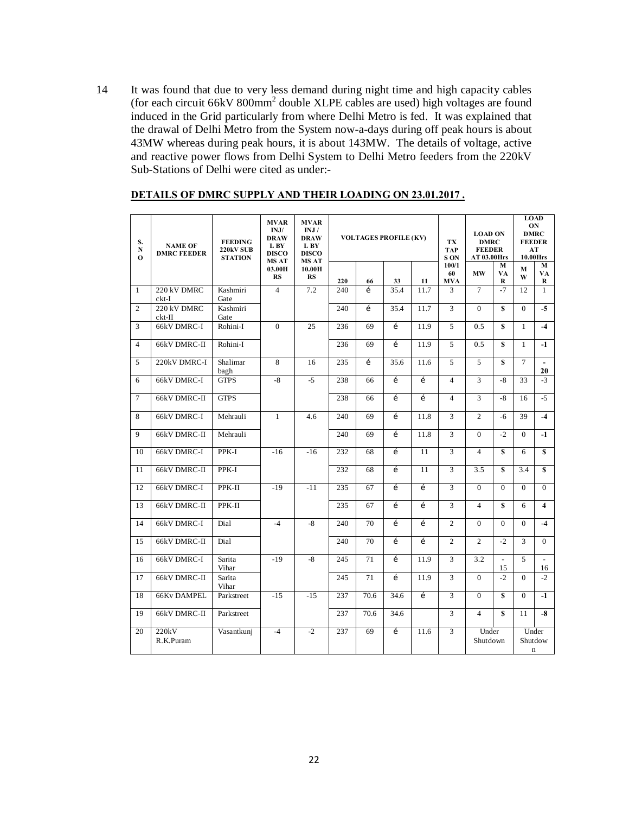14 It was found that due to very less demand during night time and high capacity cables (for each circuit 66kV 800mm2 double XLPE cables are used) high voltages are found induced in the Grid particularly from where Delhi Metro is fed. It was explained that the drawal of Delhi Metro from the System now-a-days during off peak hours is about 43MW whereas during peak hours, it is about 143MW. The details of voltage, active and reactive power flows from Delhi System to Delhi Metro feeders from the 220kV Sub-Stations of Delhi were cited as under:-

| S.<br>N<br>$\mathbf{o}$ | <b>NAME OF</b><br><b>DMRC FEEDER</b> | <b>FEEDING</b><br>220kV SUB<br><b>STATION</b> | <b>MVAR</b><br>INJ/<br><b>DRAW</b><br>L BY<br><b>DISCO</b> | <b>MVAR</b><br>INJ/<br><b>DRAW</b><br>L BY<br><b>DISCO</b> |     | <b>VOLTAGES PROFILE (KV)</b> |              |              | TX<br><b>TAP</b><br>S ON  |                   | <b>LOAD ON</b><br><b>DMRC</b><br><b>FEEDER</b><br>AT 03.00Hrs |                    | <b>LOAD</b><br>ON<br><b>DMRC</b><br><b>FEEDER</b><br>AT<br>10.00Hrs |  |
|-------------------------|--------------------------------------|-----------------------------------------------|------------------------------------------------------------|------------------------------------------------------------|-----|------------------------------|--------------|--------------|---------------------------|-------------------|---------------------------------------------------------------|--------------------|---------------------------------------------------------------------|--|
|                         |                                      |                                               | <b>MS AT</b><br>03.00H<br><b>RS</b>                        | <b>MS AT</b><br>10.00H<br>RS                               | 220 | 66                           | 33           | 11           | 100/1<br>60<br><b>MVA</b> | <b>MW</b>         | M<br>VA<br>R                                                  | $\bf M$<br>W       | M<br>VA<br>R                                                        |  |
| $\mathbf{1}$            | 220 kV DMRC<br>$ckt-I$               | Kashmiri<br>Gate                              | $\overline{4}$                                             | 7.2                                                        | 240 | $\mathbf{1}$                 | 35.4         | 11.7         | 3                         | $\overline{7}$    | $-7$                                                          | 12                 | $\mathbf{1}$                                                        |  |
| 2                       | 220 kV DMRC<br>$ckt-II$              | Kashmiri<br>Gate                              |                                                            |                                                            | 240 | $\mathbf{i}$                 | 35.4         | 11.7         | 3                         | $\theta$          | S                                                             | $\overline{0}$     | $-5$                                                                |  |
| 3                       | 66kV DMRC-I                          | Rohini-I                                      | $\Omega$                                                   | 25                                                         | 236 | 69                           | $\mathbf{1}$ | 11.9         | 5                         | 0.5               | $\mathbf{s}$                                                  | $\mathbf{1}$       | $-4$                                                                |  |
| $\overline{4}$          | 66kV DMRC-II                         | Rohini-I                                      |                                                            |                                                            | 236 | 69                           | $\mathbf i$  | 11.9         | 5                         | 0.5               | $\mathbf{s}$                                                  | $\mathbf{1}$       | $-1$                                                                |  |
| 5                       | 220kV DMRC-I                         | Shalimar<br>bagh                              | 8                                                          | 16                                                         | 235 | $\mathbf{1}$                 | 35.6         | 11.6         | 5                         | 5                 | $\mathbf{s}$                                                  | 7                  | $\overline{\phantom{a}}$<br>20                                      |  |
| 6                       | 66kV DMRC-I                          | <b>GTPS</b>                                   | $-8$                                                       | $-5$                                                       | 238 | 66                           | $\mathbf{1}$ | $\mathbf{r}$ | $\overline{4}$            | 3                 | -8                                                            | 33                 | $-3$                                                                |  |
| $\overline{7}$          | 66kV DMRC-II                         | <b>GTPS</b>                                   |                                                            |                                                            | 238 | 66                           | $\mathbf i$  | í            | $\overline{4}$            | 3                 | $-8$                                                          | 16                 | $-5$                                                                |  |
| 8                       | 66kV DMRC-I                          | Mehrauli                                      | $\mathbf{1}$                                               | 4.6                                                        | 240 | 69                           | í            | 11.8         | 3                         | $\overline{c}$    | $-6$                                                          | 39                 | $-4$                                                                |  |
| $\mathbf Q$             | 66kV DMRC-II                         | Mehrauli                                      |                                                            |                                                            | 240 | 69                           | $\mathbf{1}$ | 11.8         | 3                         | $\Omega$          | $-2$                                                          | $\Omega$           | $-1$                                                                |  |
| 10                      | 66kV DMRC-I                          | PPK-I                                         | $-16$                                                      | $-16$                                                      | 232 | 68                           | $\mathbf i$  | 11           | 3                         | $\overline{4}$    | $\mathbf{s}$                                                  | 6                  | s                                                                   |  |
| 11                      | 66kV DMRC-II                         | PPK-I                                         |                                                            |                                                            | 232 | 68                           | $\mathbf{1}$ | 11           | 3                         | 3.5               | $\mathbf{s}$                                                  | 3.4                | s                                                                   |  |
| 12                      | 66kV DMRC-I                          | PPK-II                                        | $-19$                                                      | $-11$                                                      | 235 | 67                           | $\mathbf{1}$ | $\mathbf{r}$ | 3                         | $\Omega$          | $\Omega$                                                      | $\Omega$           | $\Omega$                                                            |  |
| 13                      | 66kV DMRC-II                         | PPK-II                                        |                                                            |                                                            | 235 | 67                           | $\mathbf i$  | $\mathbf{r}$ | 3                         | $\overline{4}$    | $\mathbf{s}$                                                  | 6                  | $\overline{\bf{4}}$                                                 |  |
| 14                      | 66kV DMRC-I                          | Dial                                          | $-4$                                                       | $-8$                                                       | 240 | 70                           | $\mathbf{1}$ | $\mathbf{r}$ | $\overline{c}$            | $\Omega$          | $\Omega$                                                      | $\Omega$           | $-4$                                                                |  |
| 15                      | 66kV DMRC-II                         | Dial                                          |                                                            |                                                            | 240 | 70                           | $\mathbf i$  | í            | $\overline{2}$            | $\overline{c}$    | $-2$                                                          | 3                  | $\mathbf{0}$                                                        |  |
| 16                      | 66kV DMRC-I                          | Sarita<br>Vihar                               | $-19$                                                      | $-8$                                                       | 245 | 71                           | $\mathbf{1}$ | 11.9         | 3                         | 3.2               | $\sim$<br>15                                                  | 5                  | $\overline{\phantom{a}}$<br>16                                      |  |
| 17                      | 66kV DMRC-II                         | Sarita<br>Vihar                               |                                                            |                                                            | 245 | 71                           | $\mathbf{1}$ | 11.9         | 3                         | $\Omega$          | $-2$                                                          | $\Omega$           | $-2$                                                                |  |
| 18                      | <b>66Kv DAMPEL</b>                   | Parkstreet                                    | $-15$                                                      | $-15$                                                      | 237 | 70.6                         | 34.6         | $\mathbf{i}$ | 3                         | $\Omega$          | s                                                             | $\Omega$           | $-1$                                                                |  |
| 19                      | 66kV DMRC-II                         | Parkstreet                                    |                                                            |                                                            | 237 | 70.6                         | 34.6         |              | 3                         | $\overline{4}$    | $\mathbf{s}$                                                  | 11                 | $-8$                                                                |  |
| 20                      | 220kV<br>R.K.Puram                   | Vasantkunj                                    | $-4$                                                       | $-2$                                                       | 237 | 69                           | $\mathbf{1}$ | 11.6         | 3                         | Under<br>Shutdown |                                                               | Shutdow<br>$\bf n$ | Under                                                               |  |

### **DETAILS OF DMRC SUPPLY AND THEIR LOADING ON 23.01.2017 .**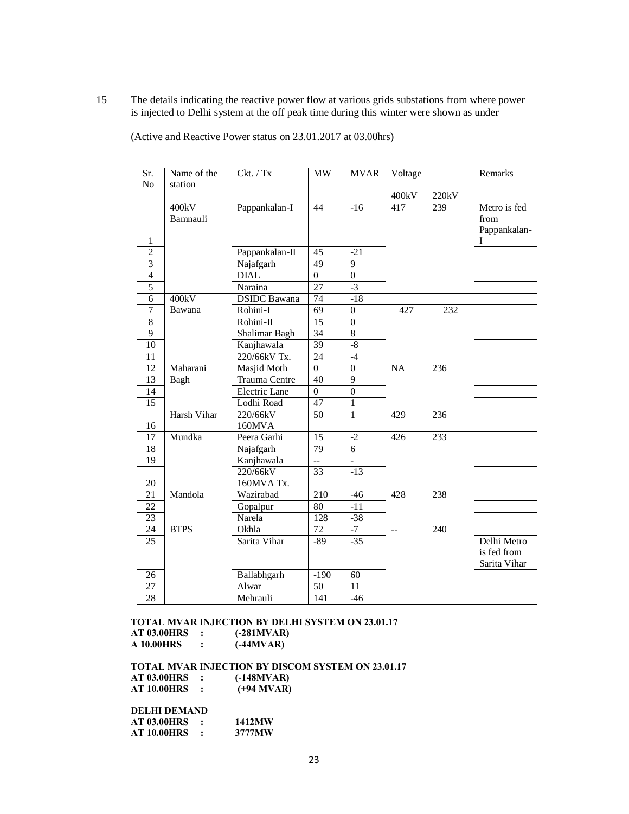15 The details indicating the reactive power flow at various grids substations from where power is injected to Delhi system at the off peak time during this winter were shown as under

| Sr.             | Name of the       | Ckt. / Tx           | <b>MW</b>                | <b>MVAR</b>      | Voltage                  |       | Remarks                                    |
|-----------------|-------------------|---------------------|--------------------------|------------------|--------------------------|-------|--------------------------------------------|
| N <sub>o</sub>  | station           |                     |                          |                  |                          |       |                                            |
|                 |                   |                     |                          |                  | 400kV                    | 220kV |                                            |
| $\mathbf{1}$    | 400kV<br>Bamnauli | Pappankalan-I       | 44                       | $-16$            | 417                      | 239   | Metro is fed<br>from<br>Pappankalan-<br>L  |
| $\overline{2}$  |                   | Pappankalan-II      | 45                       | $-21$            |                          |       |                                            |
| $\overline{3}$  |                   | Najafgarh           | 49                       | 9                |                          |       |                                            |
| $\overline{4}$  |                   | <b>DIAL</b>         | $\Omega$                 | $\boldsymbol{0}$ |                          |       |                                            |
| 5               |                   | Naraina             | $\overline{27}$          | $-3$             |                          |       |                                            |
| 6               | 400kV             | <b>DSIDC</b> Bawana | 74                       | $-18$            |                          |       |                                            |
| $\tau$          | Bawana            | Rohini-I            | 69                       | $\theta$         | 427                      | 232   |                                            |
| $\,8\,$         |                   | Rohini-II           | 15                       | $\boldsymbol{0}$ |                          |       |                                            |
| 9               |                   | Shalimar Bagh       | $\overline{34}$          | 8                |                          |       |                                            |
| 10              |                   | Kanjhawala          | 39                       | $\mbox{-}8$      |                          |       |                                            |
| 11              |                   | 220/66kV Tx.        | 24                       | $-4$             |                          |       |                                            |
| 12              | Maharani          | Masjid Moth         | $\theta$                 | $\theta$         | <b>NA</b>                | 236   |                                            |
| 13              | Bagh              | Trauma Centre       | 40                       | $\overline{9}$   |                          |       |                                            |
| 14              |                   | Electric Lane       | $\Omega$                 | $\boldsymbol{0}$ |                          |       |                                            |
| $\overline{15}$ |                   | Lodhi Road          | 47                       | 1                |                          |       |                                            |
|                 | Harsh Vihar       | 220/66kV            | 50                       | $\mathbf{1}$     | 429                      | 236   |                                            |
| 16              |                   | 160MVA              |                          |                  |                          |       |                                            |
| 17              | Mundka            | Peera Garhi         | 15                       | $-2$             | 426                      | 233   |                                            |
| 18              |                   | Najafgarh           | 79                       | 6                |                          |       |                                            |
| 19              |                   | Kanjhawala          | $\overline{\phantom{a}}$ |                  |                          |       |                                            |
|                 |                   | 220/66kV            | 33                       | $-13$            |                          |       |                                            |
| 20              |                   | 160MVA Tx.          |                          |                  |                          |       |                                            |
| 21              | Mandola           | Wazirabad           | 210                      | $-46$            | 428                      | 238   |                                            |
| 22              |                   | Gopalpur            | 80                       | $-11$            |                          |       |                                            |
| 23              |                   | Narela              | 128                      | $-38$            |                          |       |                                            |
| 24              | <b>BTPS</b>       | Okhla               | 72                       | $-7$             | $\overline{\phantom{a}}$ | 240   |                                            |
| $\overline{25}$ |                   | Sarita Vihar        | -89                      | $-35$            |                          |       | Delhi Metro<br>is fed from<br>Sarita Vihar |
| 26              |                   | Ballabhgarh         | $-190$                   | 60               |                          |       |                                            |
| $\overline{27}$ |                   | Alwar               | $\overline{50}$          | $\overline{11}$  |                          |       |                                            |
| 28              |                   | Mehrauli            | 141                      | $-46$            |                          |       |                                            |

(Active and Reactive Power status on 23.01.2017 at 03.00hrs)

#### **TOTAL MVAR INJECTION BY DELHI SYSTEM ON 23.01.17**

| AT 03.00HRS | $(-281MVAR)$ |
|-------------|--------------|
| A 10.00HRS  | $(-44MVAR)$  |

**TOTAL MVAR INJECTION BY DISCOM SYSTEM ON 23.01.17 AT 03.00HRS** : **AT 10.00HRS : (+94 MVAR)**

| <b>DELHI DEMAND</b> |        |
|---------------------|--------|
| <b>AT 03.00HRS</b>  | 1412MW |
| <b>AT 10.00HRS</b>  | 3777MW |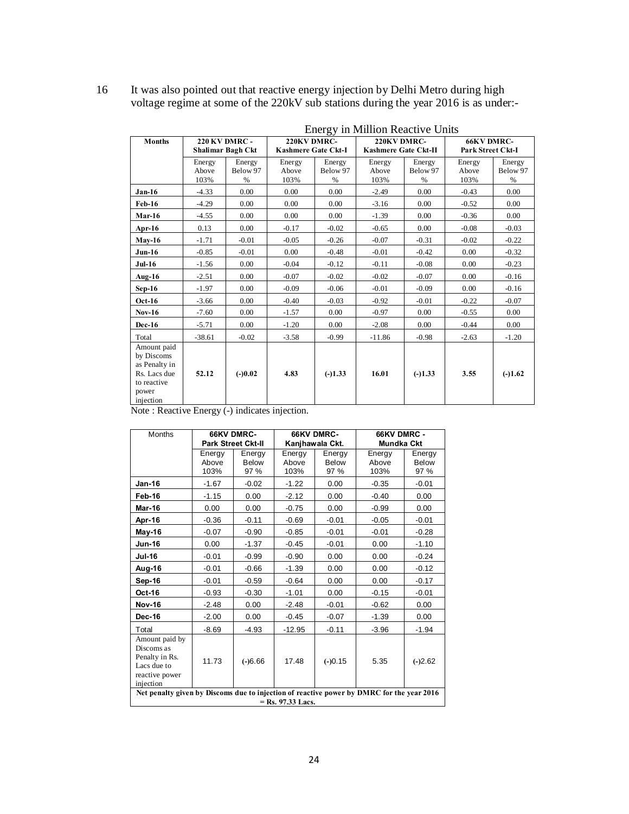| 16 | It was also pointed out that reactive energy injection by Delhi Metro during high  |
|----|------------------------------------------------------------------------------------|
|    | voltage regime at some of the 220kV sub stations during the year 2016 is as under- |

|                                                                                                 | <b>Energy in Million Reactive Units</b>   |                         |                                    |                            |                                     |                         |                                        |                            |  |
|-------------------------------------------------------------------------------------------------|-------------------------------------------|-------------------------|------------------------------------|----------------------------|-------------------------------------|-------------------------|----------------------------------------|----------------------------|--|
| <b>Months</b>                                                                                   | <b>220 KV DMRC -</b><br>Shalimar Bagh Ckt |                         | 220KV DMRC-<br>Kashmere Gate Ckt-I |                            | 220KV DMRC-<br>Kashmere Gate Ckt-II |                         | <b>66KV DMRC-</b><br>Park Street Ckt-I |                            |  |
|                                                                                                 | Energy<br>Above<br>103%                   | Energy<br>Below 97<br>% | Energy<br>Above<br>103%            | Energy<br>Below 97<br>$\%$ | Energy<br>Above<br>103%             | Energy<br>Below 97<br>% | Energy<br>Above<br>103%                | Energy<br>Below 97<br>$\%$ |  |
| $Jan-16$                                                                                        | $-4.33$                                   | 0.00                    | 0.00                               | 0.00                       | $-2.49$                             | 0.00                    | $-0.43$                                | 0.00                       |  |
| <b>Feb-16</b>                                                                                   | $-4.29$                                   | 0.00                    | 0.00                               | 0.00                       | $-3.16$                             | 0.00                    | $-0.52$                                | 0.00                       |  |
| $Mar-16$                                                                                        | $-4.55$                                   | 0.00                    | 0.00                               | 0.00                       | $-1.39$                             | 0.00                    | $-0.36$                                | 0.00                       |  |
| Apr- $16$                                                                                       | 0.13                                      | 0.00                    | $-0.17$                            | $-0.02$                    | $-0.65$                             | 0.00                    | $-0.08$                                | $-0.03$                    |  |
| $Mav-16$                                                                                        | $-1.71$                                   | $-0.01$                 | $-0.05$                            | $-0.26$                    | $-0.07$                             | $-0.31$                 | $-0.02$                                | $-0.22$                    |  |
| $Jun-16$                                                                                        | $-0.85$                                   | $-0.01$                 | 0.00                               | $-0.48$                    | $-0.01$                             | $-0.42$                 | 0.00                                   | $-0.32$                    |  |
| $Jul-16$                                                                                        | $-1.56$                                   | 0.00                    | $-0.04$                            | $-0.12$                    | $-0.11$                             | $-0.08$                 | 0.00                                   | $-0.23$                    |  |
| Aug- $16$                                                                                       | $-2.51$                                   | 0.00                    | $-0.07$                            | $-0.02$                    | $-0.02$                             | $-0.07$                 | 0.00                                   | $-0.16$                    |  |
| $Sep-16$                                                                                        | $-1.97$                                   | 0.00                    | $-0.09$                            | $-0.06$                    | $-0.01$                             | $-0.09$                 | 0.00                                   | $-0.16$                    |  |
| $Oct-16$                                                                                        | $-3.66$                                   | 0.00                    | $-0.40$                            | $-0.03$                    | $-0.92$                             | $-0.01$                 | $-0.22$                                | $-0.07$                    |  |
| $Nov-16$                                                                                        | $-7.60$                                   | 0.00                    | $-1.57$                            | 0.00                       | $-0.97$                             | 0.00                    | $-0.55$                                | 0.00                       |  |
| <b>Dec-16</b>                                                                                   | $-5.71$                                   | 0.00                    | $-1.20$                            | 0.00                       | $-2.08$                             | 0.00                    | $-0.44$                                | 0.00                       |  |
| Total                                                                                           | $-38.61$                                  | $-0.02$                 | $-3.58$                            | $-0.99$                    | $-11.86$                            | $-0.98$                 | $-2.63$                                | $-1.20$                    |  |
| Amount paid<br>by Discoms<br>as Penalty in<br>Rs. Lacs due<br>to reactive<br>power<br>injection | 52.12                                     | $(-)0.02$               | 4.83                               | $(-)1.33$                  | 16.01                               | $(-)1.33$               | 3.55                                   | $(-)1.62$                  |  |

Note : Reactive Energy (-) indicates injection.

| <b>Months</b>                                                                             |         | <b>66KV DMRC-</b>         |                     | <b>66KV DMRC-</b> | 66KV DMRC -<br><b>Mundka Ckt</b> |           |  |
|-------------------------------------------------------------------------------------------|---------|---------------------------|---------------------|-------------------|----------------------------------|-----------|--|
|                                                                                           |         | <b>Park Street Ckt-II</b> |                     | Kanjhawala Ckt.   |                                  |           |  |
|                                                                                           | Energy  | Energy                    | Energy              | Energy            | Energy                           | Energy    |  |
|                                                                                           | Above   | <b>Below</b>              | Above               | Below             | Above                            | Below     |  |
|                                                                                           | 103%    | 97 %                      | 103%                | 97 %              | 103%                             | 97 %      |  |
| <b>Jan-16</b>                                                                             | $-1.67$ | $-0.02$                   | $-1.22$             | 0.00              | $-0.35$                          | $-0.01$   |  |
| Feb-16                                                                                    | $-1.15$ | 0.00                      | $-2.12$             | 0.00              | $-0.40$                          | 0.00      |  |
| <b>Mar-16</b>                                                                             | 0.00    | 0.00                      | $-0.75$             | 0.00              | $-0.99$                          | 0.00      |  |
| Apr-16                                                                                    | $-0.36$ | $-0.11$                   | $-0.69$             | $-0.01$           | $-0.05$                          | $-0.01$   |  |
| May-16                                                                                    | $-0.07$ | $-0.90$                   | $-0.85$             | $-0.01$           | $-0.01$                          | $-0.28$   |  |
| <b>Jun-16</b>                                                                             | 0.00    | $-1.37$                   | $-0.45$             | $-0.01$           | 0.00                             | $-1.10$   |  |
| <b>Jul-16</b>                                                                             | $-0.01$ | $-0.99$                   | $-0.90$             | 0.00              | 0.00                             | $-0.24$   |  |
| Aug-16                                                                                    | $-0.01$ | $-0.66$                   | $-1.39$             | 0.00              | 0.00                             | $-0.12$   |  |
| Sep-16                                                                                    | $-0.01$ | $-0.59$                   | $-0.64$             | 0.00              | 0.00                             | $-0.17$   |  |
| Oct-16                                                                                    | $-0.93$ | $-0.30$                   | $-1.01$             | 0.00              | $-0.15$                          | $-0.01$   |  |
| <b>Nov-16</b>                                                                             | $-2.48$ | 0.00                      | $-2.48$             | $-0.01$           | $-0.62$                          | 0.00      |  |
| <b>Dec-16</b>                                                                             | $-2.00$ | 0.00                      | $-0.45$             | $-0.07$           | $-1.39$                          | 0.00      |  |
| Total                                                                                     | $-8.69$ | $-4.93$                   | $-12.95$            | $-0.11$           | $-3.96$                          | $-1.94$   |  |
| Amount paid by                                                                            |         |                           |                     |                   |                                  |           |  |
| Discoms as                                                                                |         |                           |                     |                   |                                  |           |  |
| Penalty in Rs.                                                                            | 11.73   | $(-)6.66$                 | 17.48               | $(-)0.15$         | 5.35                             | $(-)2.62$ |  |
| Lacs due to                                                                               |         |                           |                     |                   |                                  |           |  |
| reactive power                                                                            |         |                           |                     |                   |                                  |           |  |
| injection                                                                                 |         |                           |                     |                   |                                  |           |  |
| Net penalty given by Discoms due to injection of reactive power by DMRC for the year 2016 |         |                           |                     |                   |                                  |           |  |
|                                                                                           |         |                           | $=$ Rs. 97.33 Lacs. |                   |                                  |           |  |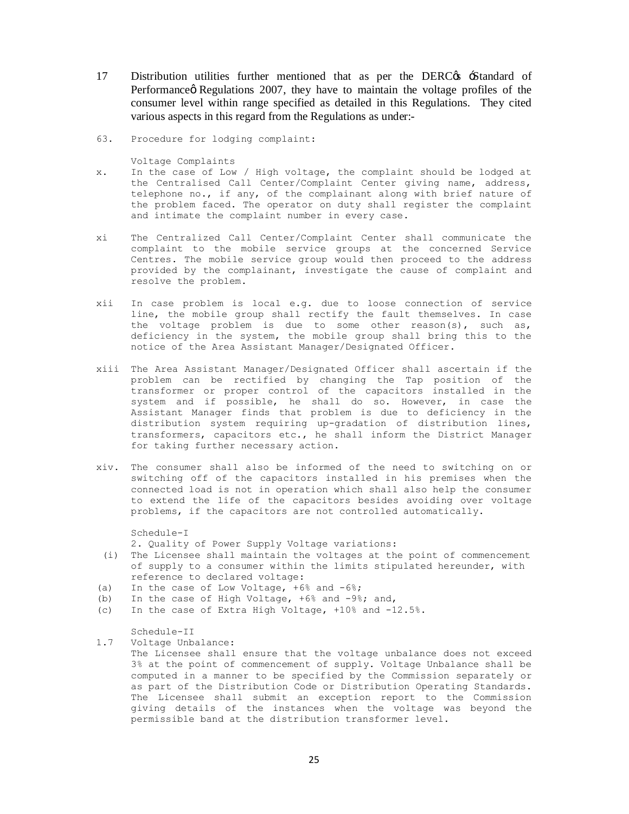- 17 Distribution utilities further mentioned that as per the DERC<sub>G</sub> Standard of Performance Regulations 2007, they have to maintain the voltage profiles of the consumer level within range specified as detailed in this Regulations. They cited various aspects in this regard from the Regulations as under:-
- 63. Procedure for lodging complaint:

Voltage Complaints

- x. In the case of Low / High voltage, the complaint should be lodged at the Centralised Call Center/Complaint Center giving name, address, telephone no., if any, of the complainant along with brief nature of the problem faced. The operator on duty shall register the complaint and intimate the complaint number in every case.
- xi The Centralized Call Center/Complaint Center shall communicate the complaint to the mobile service groups at the concerned Service Centres. The mobile service group would then proceed to the address provided by the complainant, investigate the cause of complaint and resolve the problem.
- xii In case problem is local e.g. due to loose connection of service line, the mobile group shall rectify the fault themselves. In case the voltage problem is due to some other reason(s), such as, deficiency in the system, the mobile group shall bring this to the notice of the Area Assistant Manager/Designated Officer.
- xiii The Area Assistant Manager/Designated Officer shall ascertain if the problem can be rectified by changing the Tap position of the transformer or proper control of the capacitors installed in the system and if possible, he shall do so. However, in case the Assistant Manager finds that problem is due to deficiency in the distribution system requiring up-gradation of distribution lines, transformers, capacitors etc., he shall inform the District Manager for taking further necessary action.
- xiv. The consumer shall also be informed of the need to switching on or switching off of the capacitors installed in his premises when the connected load is not in operation which shall also help the consumer to extend the life of the capacitors besides avoiding over voltage problems, if the capacitors are not controlled automatically.

Schedule-I 2. Quality of Power Supply Voltage variations:

- (i) The Licensee shall maintain the voltages at the point of commencement of supply to a consumer within the limits stipulated hereunder, with reference to declared voltage:
- (a) In the case of Low Voltage,  $+6\frac{6}{3}$  and  $-6\frac{2}{3}$ ;
- (b) In the case of High Voltage, +6% and -9%; and,
- (c) In the case of Extra High Voltage, +10% and -12.5%.

Schedule-II

1.7 Voltage Unbalance:

The Licensee shall ensure that the voltage unbalance does not exceed 3% at the point of commencement of supply. Voltage Unbalance shall be computed in a manner to be specified by the Commission separately or as part of the Distribution Code or Distribution Operating Standards. The Licensee shall submit an exception report to the Commission giving details of the instances when the voltage was beyond the permissible band at the distribution transformer level.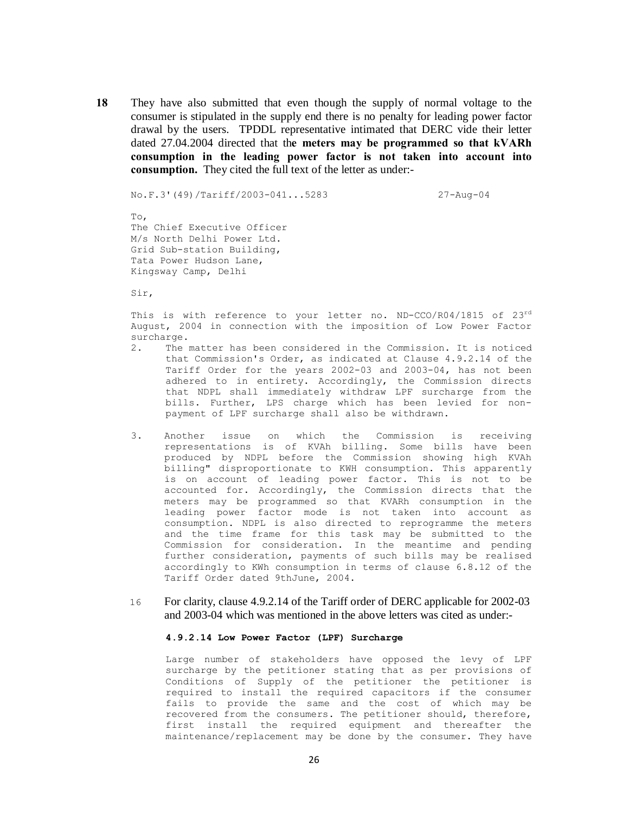**18** They have also submitted that even though the supply of normal voltage to the consumer is stipulated in the supply end there is no penalty for leading power factor drawal by the users. TPDDL representative intimated that DERC vide their letter dated 27.04.2004 directed that th**e meters may be programmed so that kVARh consumption in the leading power factor is not taken into account into consumption.** They cited the full text of the letter as under:-

No.F.3'(49)/Tariff/2003-041...5283 27-Aug-04

To, The Chief Executive Officer M/s North Delhi Power Ltd. Grid Sub-station Building, Tata Power Hudson Lane, Kingsway Camp, Delhi

Sir,

This is with reference to your letter no. ND-CCO/R04/1815 of  $23<sup>rd</sup>$ August, 2004 in connection with the imposition of Low Power Factor surcharge.

- 2. The matter has been considered in the Commission. It is noticed that Commission's Order, as indicated at Clause 4.9.2.14 of the Tariff Order for the years 2002-03 and 2003-04, has not been adhered to in entirety. Accordingly, the Commission directs that NDPL shall immediately withdraw LPF surcharge from the bills. Further, LPS charge which has been levied for nonpayment of LPF surcharge shall also be withdrawn.
- 3. Another issue on which the Commission is receiving representations is of KVAh billing. Some bills have been produced by NDPL before the Commission showing high KVAh billing" disproportionate to KWH consumption. This apparently is on account of leading power factor. This is not to be accounted for. Accordingly, the Commission directs that the meters may be programmed so that KVARh consumption in the leading power factor mode is not taken into account as consumption. NDPL is also directed to reprogramme the meters and the time frame for this task may be submitted to the Commission for consideration. In the meantime and pending further consideration, payments of such bills may be realised accordingly to KWh consumption in terms of clause 6.8.12 of the Tariff Order dated 9thJune, 2004.
- 16 For clarity, clause 4.9.2.14 of the Tariff order of DERC applicable for 2002-03 and 2003-04 which was mentioned in the above letters was cited as under:-

#### **4.9.2.14 Low Power Factor (LPF) Surcharge**

Large number of stakeholders have opposed the levy of LPF surcharge by the petitioner stating that as per provisions of Conditions of Supply of the petitioner the petitioner is required to install the required capacitors if the consumer fails to provide the same and the cost of which may be recovered from the consumers. The petitioner should, therefore, first install the required equipment and thereafter the maintenance/replacement may be done by the consumer. They have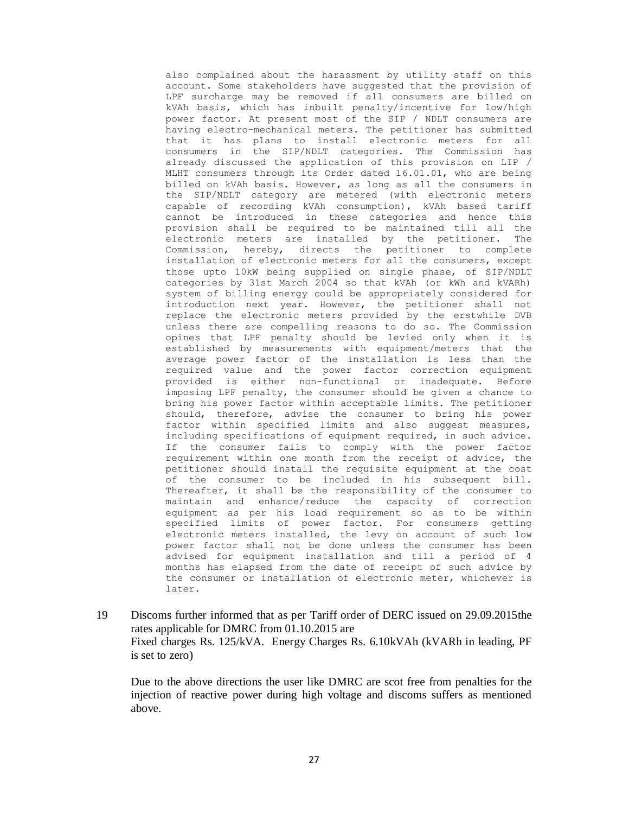also complained about the harassment by utility staff on this account. Some stakeholders have suggested that the provision of LPF surcharge may be removed if all consumers are billed on kVAh basis, which has inbuilt penalty/incentive for low/high power factor. At present most of the SIP / NDLT consumers are having electro-mechanical meters. The petitioner has submitted that it has plans to install electronic meters for all consumers in the SIP/NDLT categories. The Commission has already discussed the application of this provision on LIP / MLHT consumers through its Order dated 16.01.01, who are being billed on kVAh basis. However, as long as all the consumers in the SIP/NDLT category are metered (with electronic meters capable of recording kVAh consumption), kVAh based tariff cannot be introduced in these categories and hence this provision shall be required to be maintained till all the electronic meters are installed by the petitioner. The Commission, hereby, directs the petitioner to complete installation of electronic meters for all the consumers, except those upto 10kW being supplied on single phase, of SIP/NDLT categories by 31st March 2004 so that kVAh (or kWh and kVARh) system of billing energy could be appropriately considered for introduction next year. However, the petitioner shall not replace the electronic meters provided by the erstwhile DVB unless there are compelling reasons to do so. The Commission opines that LPF penalty should be levied only when it is established by measurements with equipment/meters that the average power factor of the installation is less than the required value and the power factor correction equipment provided is either non-functional or inadequate. Before imposing LPF penalty, the consumer should be given a chance to bring his power factor within acceptable limits. The petitioner should, therefore, advise the consumer to bring his power factor within specified limits and also suggest measures, including specifications of equipment required, in such advice. If the consumer fails to comply with the power factor requirement within one month from the receipt of advice, the petitioner should install the requisite equipment at the cost of the consumer to be included in his subsequent bill. Thereafter, it shall be the responsibility of the consumer to maintain and enhance/reduce the capacity of correction equipment as per his load requirement so as to be within specified limits of power factor. For consumers getting electronic meters installed, the levy on account of such low power factor shall not be done unless the consumer has been advised for equipment installation and till a period of 4 months has elapsed from the date of receipt of such advice by the consumer or installation of electronic meter, whichever is later.

19 Discoms further informed that as per Tariff order of DERC issued on 29.09.2015the rates applicable for DMRC from 01.10.2015 are Fixed charges Rs. 125/kVA. Energy Charges Rs. 6.10kVAh (kVARh in leading, PF is set to zero)

Due to the above directions the user like DMRC are scot free from penalties for the injection of reactive power during high voltage and discoms suffers as mentioned above.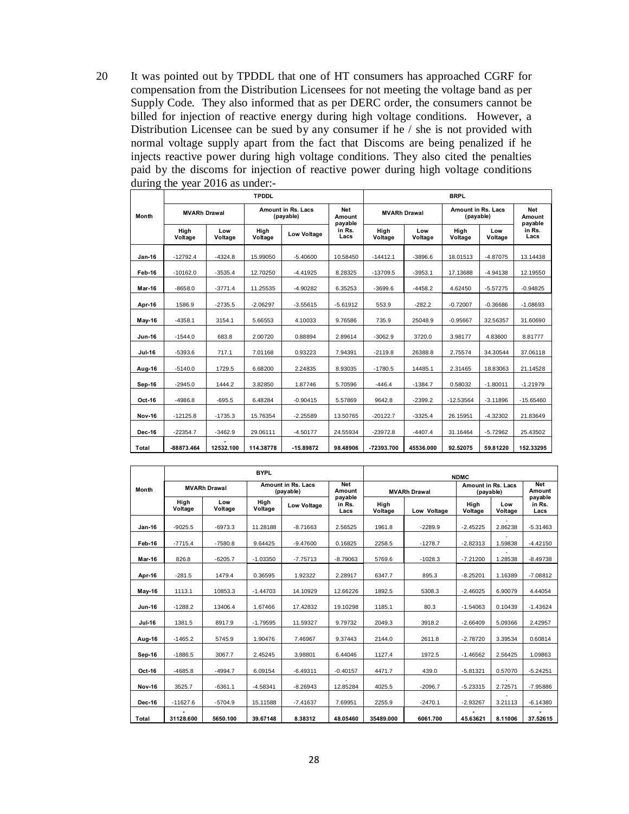20 It was pointed out by TPDDL that one of HT consumers has approached CGRF for compensation from the Distribution Licensees for not meeting the voltage band as per Supply Code. They also informed that as per DERC order, the consumers cannot be billed for injection of reactive energy during high voltage conditions. However, a Distribution Licensee can be sued by any consumer if he / she is not provided with normal voltage supply apart from the fact that Discoms are being penalized if he injects reactive power during high voltage conditions. They also cited the penalties paid by the discoms for injection of reactive power during high voltage conditions during the year 2016 as under:-

|               |                     |                | <b>BRPL</b>                     |                    |                                 |                     |                |                                 |                |                          |
|---------------|---------------------|----------------|---------------------------------|--------------------|---------------------------------|---------------------|----------------|---------------------------------|----------------|--------------------------|
| Month         | <b>MVARh Drawal</b> |                | Amount in Rs. Lacs<br>(payable) |                    | <b>Net</b><br>Amount<br>payable | <b>MVARh Drawal</b> |                | Amount in Rs. Lacs<br>(payable) |                | Net<br>Amount<br>payable |
|               | High<br>Voltage     | Low<br>Voltage | High<br>Voltage                 | <b>Low Voltage</b> | in Rs.<br>Lacs                  | High<br>Voltage     | Low<br>Voltage | High<br>Voltage                 | Low<br>Voltage | in Rs.<br>Lacs           |
| <b>Jan-16</b> | $-12792.4$          | $-4324.8$      | 15.99050                        | $-5.40600$         | 10.58450                        | $-14412.1$          | $-3896.6$      | 18.01513                        | $-4.87075$     | 13.14438                 |
| Feb-16        | $-10162.0$          | $-3535.4$      | 12.70250                        | $-4.41925$         | 8.28325                         | $-13709.5$          | $-3953.1$      | 17.13688                        | $-4.94138$     | 12.19550                 |
| <b>Mar-16</b> | $-8658.0$           | $-3771.4$      | 11.25535                        | $-4.90282$         | 6.35253                         | $-3699.6$           | $-4458.2$      | 4.62450                         | $-5.57275$     | $-0.94825$               |
| Apr-16        | 1586.9              | $-2735.5$      | $-2.06297$                      | $-3.55615$         | $-5.61912$                      | 553.9               | $-282.2$       | $-0.72007$                      | $-0.36686$     | $-1.08693$               |
| <b>May-16</b> | $-4358.1$           | 3154.1         | 5.66553                         | 4.10033            | 9.76586                         | 735.9               | 25048.9        | $-0.95667$                      | 32.56357       | 31.60690                 |
| <b>Jun-16</b> | $-1544.0$           | 683.8          | 2.00720                         | 0.88894            | 2.89614                         | $-3062.9$           | 3720.0         | 3.98177                         | 4.83600        | 8.81777                  |
| Jul-16        | $-5393.6$           | 717.1          | 7.01168                         | 0.93223            | 7.94391                         | $-2119.8$           | 26388.8        | 2.75574                         | 34.30544       | 37.06118                 |
| Aug-16        | $-5140.0$           | 1729.5         | 6.68200                         | 2.24835            | 8.93035                         | $-1780.5$           | 14485.1        | 2.31465                         | 18.83063       | 21.14528                 |
| Sep-16        | $-2945.0$           | 1444.2         | 3.82850                         | 1.87746            | 5.70596                         | $-446.4$            | $-1384.7$      | 0.58032                         | $-1.80011$     | $-1.21979$               |
| Oct-16        | $-4986.8$           | $-695.5$       | 6.48284                         | $-0.90415$         | 5.57869                         | 9642.8              | $-2399.2$      | $-12.53564$                     | $-3.11896$     | $-15.65460$              |
| <b>Nov-16</b> | $-12125.8$          | $-1735.3$      | 15.76354                        | $-2.25589$         | 13.50765                        | $-20122.7$          | $-3325.4$      | 26.15951                        | $-4.32302$     | 21.83649                 |
| <b>Dec-16</b> | $-22354.7$          | $-3462.9$      | 29.06111                        | $-4.50177$         | 24.55934                        | $-23972.8$          | $-4407.4$      | 31.16464                        | $-5.72962$     | 25.43502                 |
| Total         | -88873.464          | 12532.100      | 114.38778                       | $-15.89872$        | 98.48906                        | -72393.700          | 45536.000      | 92.52075                        | 59.81220       | 152.33295                |

|               |                     |                | <b>BYPL</b>     |                                 | <b>NDMC</b>               |                     |             |                                        |                |                           |
|---------------|---------------------|----------------|-----------------|---------------------------------|---------------------------|---------------------|-------------|----------------------------------------|----------------|---------------------------|
| Month         | <b>MVARh Drawal</b> |                |                 | Amount in Rs. Lacs<br>(payable) |                           | <b>MVARh Drawal</b> |             | <b>Amount in Rs. Lacs</b><br>(payable) |                | <b>Net</b><br>Amount      |
|               | High<br>Voltage     | Low<br>Voltage | High<br>Voltage | <b>Low Voltage</b>              | payable<br>in Rs.<br>Lacs | High<br>Voltage     | Low Voltage | High<br>Voltage                        | Low<br>Voltage | payable<br>in Rs.<br>Lacs |
| <b>Jan-16</b> | $-9025.5$           | $-6973.3$      | 11.28188        | $-8.71663$                      | 2.56525                   | 1961.8              | $-2289.9$   | $-2.45225$                             | 2.86238        | $-5.31463$                |
| Feb-16        | $-7715.4$           | $-7580.8$      | 9.64425         | $-9.47600$                      | 0.16825                   | 2258.5              | $-1278.7$   | $-2.82313$                             | 1.59838        | $-4.42150$                |
| <b>Mar-16</b> | 826.8               | $-6205.7$      | $-1.03350$      | $-7.75713$                      | $-8.79063$                | 5769.6              | $-1028.3$   | $-7.21200$                             | 1.28538        | $-8.49738$                |
| Apr-16        | $-281.5$            | 1479.4         | 0.36595         | 1.92322                         | 2.28917                   | 6347.7              | 895.3       | $-8.25201$                             | 1.16389        | $-7.08812$                |
| $May-16$      | 1113.1              | 10853.3        | $-1.44703$      | 14.10929                        | 12.66226                  | 1892.5              | 5308.3      | $-2.46025$                             | 6.90079        | 4.44054                   |
| <b>Jun-16</b> | $-1288.2$           | 13406.4        | 1.67466         | 17.42832                        | 19.10298                  | 1185.1              | 80.3        | $-1.54063$                             | 0.10439        | $-1.43624$                |
| <b>Jul-16</b> | 1381.5              | 8917.9         | $-1.79595$      | 11.59327                        | 9.79732                   | 2049.3              | 3918.2      | $-2.66409$                             | 5.09366        | 2.42957                   |
| Aug-16        | $-1465.2$           | 5745.9         | 1.90476         | 7.46967                         | 9.37443                   | 2144.0              | 2611.8      | $-2.78720$                             | 3.39534        | 0.60814                   |
| Sep-16        | $-1886.5$           | 3067.7         | 2.45245         | 3.98801                         | 6.44046                   | 1127.4              | 1972.5      | $-1.46562$                             | 2.56425        | 1.09863                   |
| Oct-16        | $-4685.8$           | $-4994.7$      | 6.09154         | $-6.49311$                      | $-0.40157$                | 4471.7              | 439.0       | $-5.81321$                             | 0.57070        | $-5.24251$                |
| <b>Nov-16</b> | 3525.7              | $-6361.1$      | $-4.58341$      | $-8.26943$                      | 12.85284                  | 4025.5              | $-2096.7$   | $-5.23315$                             | 2.72571        | $-7.95886$                |
| <b>Dec-16</b> | $-11627.6$          | $-5704.9$      | 15.11588        | $-7.41637$                      | 7.69951                   | 2255.9              | $-2470.1$   | $-2.93267$                             | 3.21113        | $-6.14380$                |
| <b>Total</b>  | 31128.600           | 5650.100       | 39.67148        | 8.38312                         | 48.05460                  | 35489.000           | 6061.700    | 45.63621                               | 8.11006        | 37.52615                  |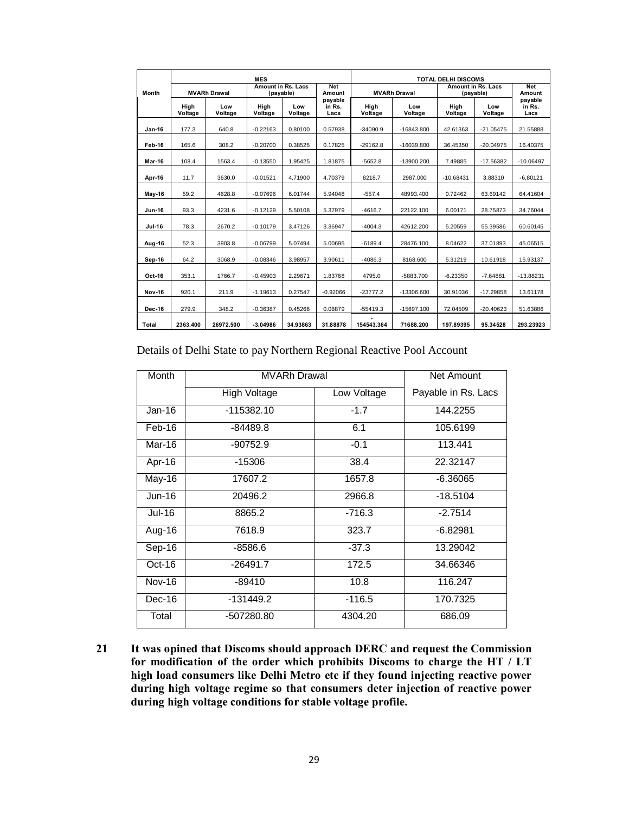|               |                 |                     | <b>MES</b>      |                                        |                           | <b>TOTAL DELHI DISCOMS</b> |                |                                        |                |                           |
|---------------|-----------------|---------------------|-----------------|----------------------------------------|---------------------------|----------------------------|----------------|----------------------------------------|----------------|---------------------------|
| Month         |                 | <b>MVARh Drawal</b> |                 | <b>Amount in Rs. Lacs</b><br>(payable) |                           | <b>MVARh Drawal</b>        |                | <b>Amount in Rs. Lacs</b><br>(payable) |                | <b>Net</b><br>Amount      |
|               | High<br>Voltage | Low<br>Voltage      | High<br>Voltage | Low<br>Voltage                         | payable<br>in Rs.<br>Lacs | High<br>Voltage            | Low<br>Voltage | High<br>Voltage                        | Low<br>Voltage | payable<br>in Rs.<br>Lacs |
| $Jan-16$      | 177.3           | 640.8               | $-0.22163$      | 0.80100                                | 0.57938                   | $-34090.9$                 | $-16843.800$   | 42.61363                               | $-21.05475$    | 21.55888                  |
| Feb-16        | 165.6           | 308.2               | $-0.20700$      | 0.38525                                | 0.17825                   | $-29162.8$                 | $-16039.800$   | 36.45350                               | $-20.04975$    | 16.40375                  |
| Mar-16        | 108.4           | 1563.4              | $-0.13550$      | 1.95425                                | 1.81875                   | $-5652.8$                  | $-13900.200$   | 7.49885                                | $-17.56382$    | $-10.06497$               |
| Apr-16        | 11.7            | 3630.0              | $-0.01521$      | 4.71900                                | 4.70379                   | 8218.7                     | 2987.000       | $-10.68431$                            | 3.88310        | $-6.80121$                |
| <b>May-16</b> | 59.2            | 4628.8              | $-0.07696$      | 6.01744                                | 5.94048                   | $-557.4$                   | 48993.400      | 0.72462                                | 63.69142       | 64.41604                  |
| <b>Jun-16</b> | 93.3            | 4231.6              | $-0.12129$      | 5.50108                                | 5.37979                   | $-4616.7$                  | 22122.100      | 6.00171                                | 28.75873       | 34.76044                  |
| Jul-16        | 78.3            | 2670.2              | $-0.10179$      | 3.47126                                | 3.36947                   | $-4004.3$                  | 42612.200      | 5.20559                                | 55.39586       | 60.60145                  |
| Aug-16        | 52.3            | 3903.8              | $-0.06799$      | 5.07494                                | 5.00695                   | $-6189.4$                  | 28476.100      | 8.04622                                | 37.01893       | 45.06515                  |
| Sep-16        | 64.2            | 3068.9              | $-0.08346$      | 3.98957                                | 3.90611                   | $-4086.3$                  | 8168.600       | 5.31219                                | 10.61918       | 15.93137                  |
| Oct-16        | 353.1           | 1766.7              | $-0.45903$      | 2.29671                                | 1.83768                   | 4795.0                     | -5883.700      | $-6.23350$                             | $-7.64881$     | $-13.88231$               |
| <b>Nov-16</b> | 920.1           | 211.9               | $-1.19613$      | 0.27547                                | $-0.92066$                | $-23777.2$                 | -13306.600     | 30.91036                               | $-17.29858$    | 13.61178                  |
| <b>Dec-16</b> | 279.9           | 348.2               | $-0.36387$      | 0.45266                                | 0.08879                   | $-55419.3$                 | $-15697.100$   | 72.04509                               | $-20.40623$    | 51.63886                  |
| Total         | 2363.400        | 26972.500           | $-3.04986$      | 34.93863                               | 31.88878                  | 154543.364                 | 71688.200      | 197.89395                              | 95.34528       | 293.23923                 |

Details of Delhi State to pay Northern Regional Reactive Pool Account

| <b>Month</b>  | <b>MVARh Drawal</b> | Net Amount  |                     |
|---------------|---------------------|-------------|---------------------|
|               | High Voltage        | Low Voltage | Payable in Rs. Lacs |
| $Jan-16$      | $-115382.10$        | $-1.7$      | 144.2255            |
| Feb-16        | $-84489.8$          | 6.1         | 105.6199            |
| Mar-16        | $-90752.9$          | $-0.1$      | 113.441             |
| Apr-16        | -15306              | 38.4        | 22.32147            |
| May-16        | 17607.2             | 1657.8      | $-6.36065$          |
| $Jun-16$      | 20496.2             | 2966.8      | $-18.5104$          |
| Jul-16        | 8865.2              | $-716.3$    | $-2.7514$           |
| Aug-16        | 7618.9              | 323.7       | $-6.82981$          |
| Sep-16        | $-8586.6$           | $-37.3$     | 13.29042            |
| $Oct-16$      | $-26491.7$          | 172.5       | 34.66346            |
| <b>Nov-16</b> | $-89410$            | 10.8        | 116.247             |
| Dec-16        | -131449.2           | $-116.5$    | 170.7325            |
| Total         | -507280.80          | 4304.20     | 686.09              |

**21 It was opined that Discoms should approach DERC and request the Commission for modification of the order which prohibits Discoms to charge the HT / LT high load consumers like Delhi Metro etc if they found injecting reactive power during high voltage regime so that consumers deter injection of reactive power during high voltage conditions for stable voltage profile.**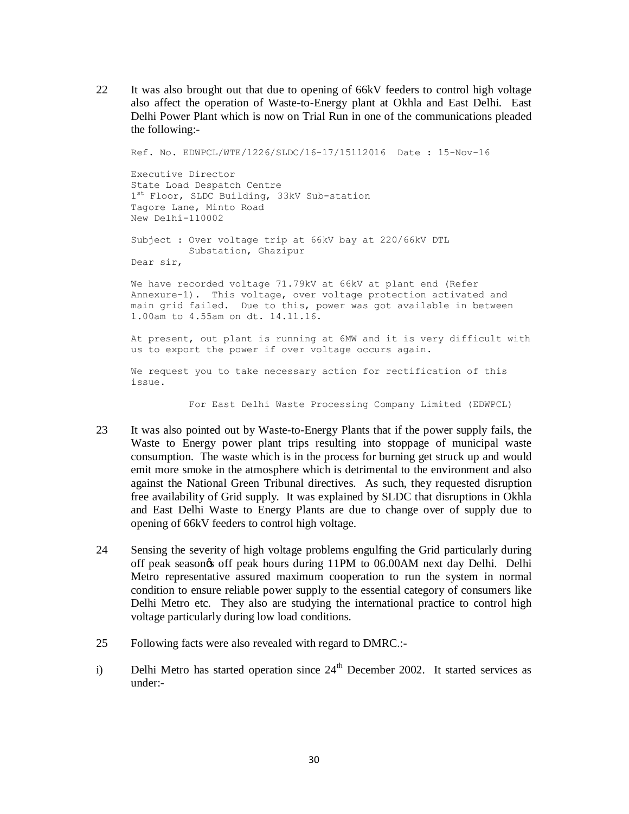22 It was also brought out that due to opening of 66kV feeders to control high voltage also affect the operation of Waste-to-Energy plant at Okhla and East Delhi. East Delhi Power Plant which is now on Trial Run in one of the communications pleaded the following:-

Ref. No. EDWPCL/WTE/1226/SLDC/16-17/15112016 Date : 15-Nov-16 Executive Director State Load Despatch Centre 1<sup>st</sup> Floor, SLDC Building, 33kV Sub-station Tagore Lane, Minto Road New Delhi-110002 Subject : Over voltage trip at 66kV bay at 220/66kV DTL Substation, Ghazipur Dear sir, We have recorded voltage 71.79kV at 66kV at plant end (Refer Annexure-1). This voltage, over voltage protection activated and main grid failed. Due to this, power was got available in between 1.00am to 4.55am on dt. 14.11.16. At present, out plant is running at 6MW and it is very difficult with us to export the power if over voltage occurs again. We request you to take necessary action for rectification of this issue.

For East Delhi Waste Processing Company Limited (EDWPCL)

- 23 It was also pointed out by Waste-to-Energy Plants that if the power supply fails, the Waste to Energy power plant trips resulting into stoppage of municipal waste consumption. The waste which is in the process for burning get struck up and would emit more smoke in the atmosphere which is detrimental to the environment and also against the National Green Tribunal directives. As such, they requested disruption free availability of Grid supply. It was explained by SLDC that disruptions in Okhla and East Delhi Waste to Energy Plants are due to change over of supply due to opening of 66kV feeders to control high voltage.
- 24 Sensing the severity of high voltage problems engulfing the Grid particularly during off peak season's off peak hours during 11PM to 06.00AM next day Delhi. Delhi Metro representative assured maximum cooperation to run the system in normal condition to ensure reliable power supply to the essential category of consumers like Delhi Metro etc. They also are studying the international practice to control high voltage particularly during low load conditions.
- 25 Following facts were also revealed with regard to DMRC.:-
- i) Delhi Metro has started operation since  $24<sup>th</sup>$  December 2002. It started services as under:-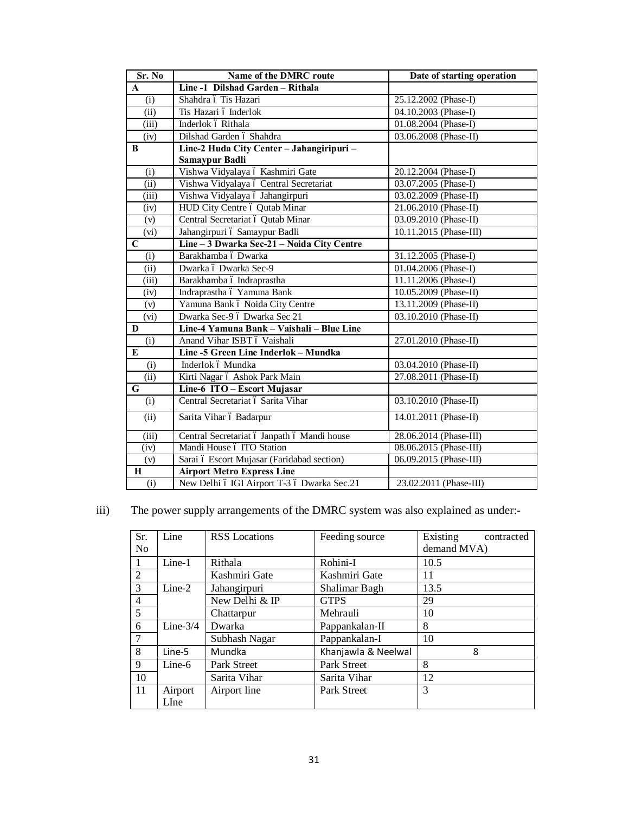| Sr. No                    | Name of the DMRC route                                      | Date of starting operation |  |
|---------------------------|-------------------------------------------------------------|----------------------------|--|
| $\mathbf{A}$              | Line -1 Dilshad Garden - Rithala                            |                            |  |
| (i)                       | Shahdra ó Tis Hazari                                        | 25.12.2002 (Phase-I)       |  |
| (ii)                      | Tis Hazari ó Inderlok                                       | 04.10.2003 (Phase-I)       |  |
| $\overline{(\text{iii})}$ | Inderlok ó Rithala                                          | 01.08.2004 (Phase-I)       |  |
| (iv)                      | Dilshad Garden ó Shahdra                                    | 03.06.2008 (Phase-II)      |  |
| B                         | Line-2 Huda City Center - Jahangiripuri -<br>Samaypur Badli |                            |  |
| (i)                       | Vishwa Vidyalaya ó Kashmiri Gate                            | 20.12.2004 (Phase-I)       |  |
| (ii)                      | Vishwa Vidyalaya ó Central Secretariat                      | 03.07.2005 (Phase-I)       |  |
| (iii)                     | Vishwa Vidyalaya ó Jahangirpuri                             | 03.02.2009 (Phase-II)      |  |
| (iv)                      | HUD City Centre ó Qutab Minar                               | 21.06.2010 (Phase-II)      |  |
| (v)                       | Central Secretariat ó Qutab Minar                           | 03.09.2010 (Phase-II)      |  |
| (vi)                      | Jahangirpuri ó Samaypur Badli                               | 10.11.2015 (Phase-III)     |  |
| $\mathbf C$               | Line - 3 Dwarka Sec-21 - Noida City Centre                  |                            |  |
| (i)                       | Barakhamba ó Dwarka                                         | 31.12.2005 (Phase-I)       |  |
| (ii)                      | Dwarka ó Dwarka Sec-9                                       | 01.04.2006 (Phase-I)       |  |
| (iii)                     | Barakhamba ó Indraprastha                                   | 11.11.2006 (Phase-I)       |  |
| (iv)                      | Indraprastha ó Yamuna Bank                                  | 10.05.2009 (Phase-II)      |  |
| (v)                       | Yamuna Bank ó Noida City Centre                             | 13.11.2009 (Phase-II)      |  |
| (vi)                      | Dwarka Sec-9 ó Dwarka Sec 21                                | 03.10.2010 (Phase-II)      |  |
| D                         | Line-4 Yamuna Bank - Vaishali - Blue Line                   |                            |  |
| (i)                       | Anand Vihar ISBT ó Vaishali                                 | 27.01.2010 (Phase-II)      |  |
| E                         | Line -5 Green Line Inderlok - Mundka                        |                            |  |
| (i)                       | Inderlok ó Mundka                                           | 03.04.2010 (Phase-II)      |  |
| (ii)                      | Kirti Nagar ó Ashok Park Main                               | 27.08.2011 (Phase-II)      |  |
| G                         | Line-6 ITO - Escort Mujasar                                 |                            |  |
| (i)                       | Central Secretariat ó Sarita Vihar                          | 03.10.2010 (Phase-II)      |  |
| (ii)                      | Sarita Vihar ó Badarpur                                     | 14.01.2011 (Phase-II)      |  |
| (iii)                     | Central Secretariat ó Janpath ó Mandi house                 | 28.06.2014 (Phase-III)     |  |
| (iv)                      | Mandi House ó ITO Station                                   | 08.06.2015 (Phase-III)     |  |
| (v)                       | Sarai ó Escort Mujasar (Faridabad section)                  | 06.09.2015 (Phase-III)     |  |
| $\bf H$                   | <b>Airport Metro Express Line</b>                           |                            |  |
| (i)                       | New Delhi ó IGI Airport T-3 ó Dwarka Sec.21                 | 23.02.2011 (Phase-III)     |  |

iii) The power supply arrangements of the DMRC system was also explained as under:-

| Sr.            | Line        | <b>RSS</b> Locations | Feeding source      | Existing<br>contracted |
|----------------|-------------|----------------------|---------------------|------------------------|
| No             |             |                      |                     | demand MVA)            |
| 1              | Line-1      | Rithala              | Rohini-I            | 10.5                   |
| 2              |             | Kashmiri Gate        | Kashmiri Gate       | 11                     |
| 3              | $Line-2$    | Jahangirpuri         | Shalimar Bagh       | 13.5                   |
| 4              |             | New Delhi & IP       | <b>GTPS</b>         | 29                     |
| $\overline{5}$ |             | Chattarpur           | Mehrauli            | 10                     |
| 6              | Line- $3/4$ | Dwarka               | Pappankalan-II      | 8                      |
|                |             | Subhash Nagar        | Pappankalan-I       | 10                     |
| 8              | Line-5      | Mundka               | Khanjawla & Neelwal | 8                      |
| 9              | Line-6      | Park Street          | <b>Park Street</b>  | 8                      |
| 10             |             | Sarita Vihar         | Sarita Vihar        | 12                     |
| 11             | Airport     | Airport line         | Park Street         | 3                      |
|                | LIne        |                      |                     |                        |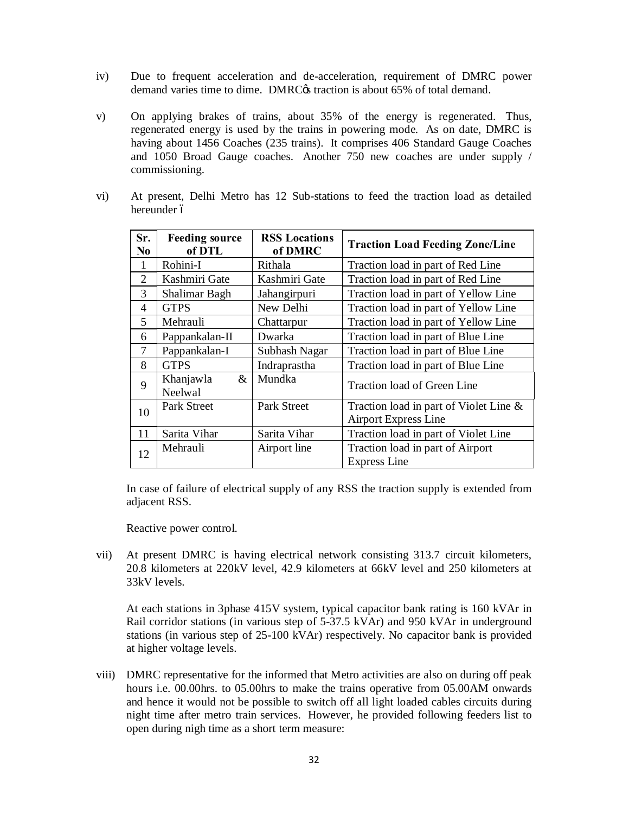- iv) Due to frequent acceleration and de-acceleration, requirement of DMRC power demand varies time to dime. DMRC $\alpha$  traction is about 65% of total demand.
- v) On applying brakes of trains, about 35% of the energy is regenerated. Thus, regenerated energy is used by the trains in powering mode. As on date, DMRC is having about 1456 Coaches (235 trains). It comprises 406 Standard Gauge Coaches and 1050 Broad Gauge coaches. Another 750 new coaches are under supply / commissioning.
- vi) At present, Delhi Metro has 12 Sub-stations to feed the traction load as detailed hereunder ó

| Sr.<br>N <sub>0</sub>    | <b>Feeding source</b><br>of DTL | <b>RSS Locations</b><br>of DMRC | <b>Traction Load Feeding Zone/Line</b>                                   |  |  |
|--------------------------|---------------------------------|---------------------------------|--------------------------------------------------------------------------|--|--|
| 1                        | Rohini-I                        | Rithala                         | Traction load in part of Red Line                                        |  |  |
| 2                        | Kashmiri Gate<br>Kashmiri Gate  |                                 | Traction load in part of Red Line                                        |  |  |
| 3                        | Shalimar Bagh                   | Jahangirpuri                    | Traction load in part of Yellow Line                                     |  |  |
| $\overline{\mathcal{A}}$ | <b>GTPS</b>                     | New Delhi                       | Traction load in part of Yellow Line                                     |  |  |
| 5                        | Mehrauli                        | Chattarpur                      | Traction load in part of Yellow Line                                     |  |  |
| 6                        | Pappankalan-II                  | Dwarka                          | Traction load in part of Blue Line                                       |  |  |
| 7                        | Pappankalan-I                   | Subhash Nagar                   | Traction load in part of Blue Line                                       |  |  |
| 8                        | <b>GTPS</b>                     | Indraprastha                    | Traction load in part of Blue Line                                       |  |  |
| 9                        | Khanjawla<br>&<br>Neelwal       | Mundka                          | Traction load of Green Line                                              |  |  |
| 10                       | Park Street                     | Park Street                     | Traction load in part of Violet Line $\&$<br><b>Airport Express Line</b> |  |  |
| 11                       | Sarita Vihar                    | Sarita Vihar                    | Traction load in part of Violet Line                                     |  |  |
| 12                       | Mehrauli                        | Airport line                    | Traction load in part of Airport<br><b>Express Line</b>                  |  |  |

In case of failure of electrical supply of any RSS the traction supply is extended from adjacent RSS.

Reactive power control.

vii) At present DMRC is having electrical network consisting 313.7 circuit kilometers, 20.8 kilometers at 220kV level, 42.9 kilometers at 66kV level and 250 kilometers at 33kV levels.

At each stations in 3phase 415V system, typical capacitor bank rating is 160 kVAr in Rail corridor stations (in various step of 5-37.5 kVAr) and 950 kVAr in underground stations (in various step of 25-100 kVAr) respectively. No capacitor bank is provided at higher voltage levels.

viii) DMRC representative for the informed that Metro activities are also on during off peak hours i.e. 00.00hrs. to 05.00hrs to make the trains operative from 05.00AM onwards and hence it would not be possible to switch off all light loaded cables circuits during night time after metro train services. However, he provided following feeders list to open during nigh time as a short term measure: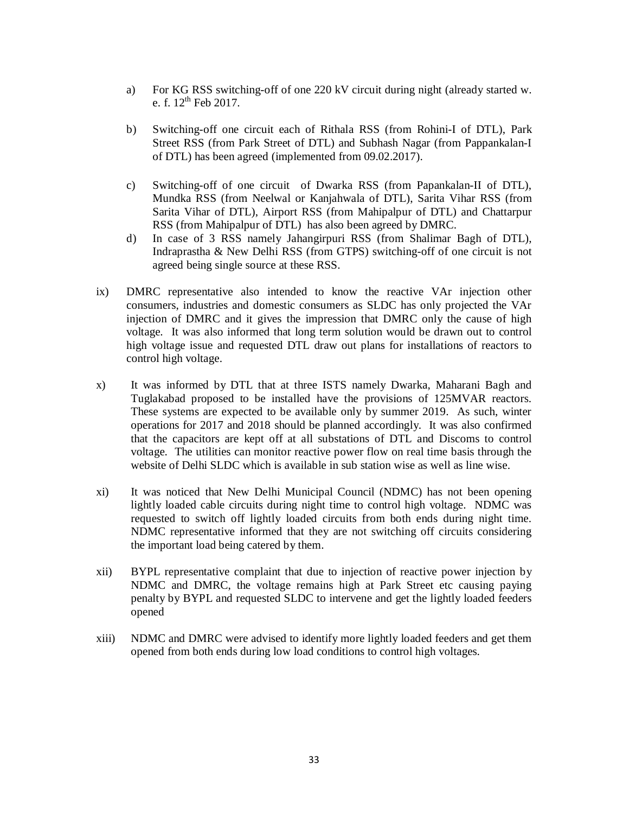- a) For KG RSS switching-off of one 220 kV circuit during night (already started w. e. f.  $12^{th}$  Feb 2017.
- b) Switching-off one circuit each of Rithala RSS (from Rohini-I of DTL), Park Street RSS (from Park Street of DTL) and Subhash Nagar (from Pappankalan-I of DTL) has been agreed (implemented from 09.02.2017).
- c) Switching-off of one circuit of Dwarka RSS (from Papankalan-II of DTL), Mundka RSS (from Neelwal or Kanjahwala of DTL), Sarita Vihar RSS (from Sarita Vihar of DTL), Airport RSS (from Mahipalpur of DTL) and Chattarpur RSS (from Mahipalpur of DTL) has also been agreed by DMRC.
- d) In case of 3 RSS namely Jahangirpuri RSS (from Shalimar Bagh of DTL), Indraprastha & New Delhi RSS (from GTPS) switching-off of one circuit is not agreed being single source at these RSS.
- ix) DMRC representative also intended to know the reactive VAr injection other consumers, industries and domestic consumers as SLDC has only projected the VAr injection of DMRC and it gives the impression that DMRC only the cause of high voltage. It was also informed that long term solution would be drawn out to control high voltage issue and requested DTL draw out plans for installations of reactors to control high voltage.
- x) It was informed by DTL that at three ISTS namely Dwarka, Maharani Bagh and Tuglakabad proposed to be installed have the provisions of 125MVAR reactors. These systems are expected to be available only by summer 2019. As such, winter operations for 2017 and 2018 should be planned accordingly. It was also confirmed that the capacitors are kept off at all substations of DTL and Discoms to control voltage. The utilities can monitor reactive power flow on real time basis through the website of Delhi SLDC which is available in sub station wise as well as line wise.
- xi) It was noticed that New Delhi Municipal Council (NDMC) has not been opening lightly loaded cable circuits during night time to control high voltage. NDMC was requested to switch off lightly loaded circuits from both ends during night time. NDMC representative informed that they are not switching off circuits considering the important load being catered by them.
- xii) BYPL representative complaint that due to injection of reactive power injection by NDMC and DMRC, the voltage remains high at Park Street etc causing paying penalty by BYPL and requested SLDC to intervene and get the lightly loaded feeders opened
- xiii) NDMC and DMRC were advised to identify more lightly loaded feeders and get them opened from both ends during low load conditions to control high voltages.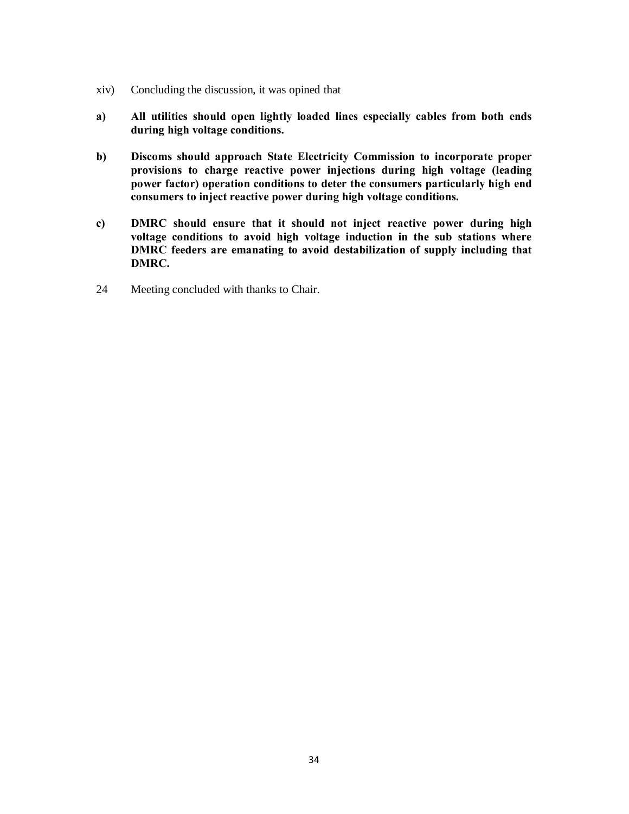- xiv) Concluding the discussion, it was opined that
- **a) All utilities should open lightly loaded lines especially cables from both ends during high voltage conditions.**
- **b) Discoms should approach State Electricity Commission to incorporate proper provisions to charge reactive power injections during high voltage (leading power factor) operation conditions to deter the consumers particularly high end consumers to inject reactive power during high voltage conditions.**
- **c) DMRC should ensure that it should not inject reactive power during high voltage conditions to avoid high voltage induction in the sub stations where DMRC feeders are emanating to avoid destabilization of supply including that DMRC.**
- 24 Meeting concluded with thanks to Chair.